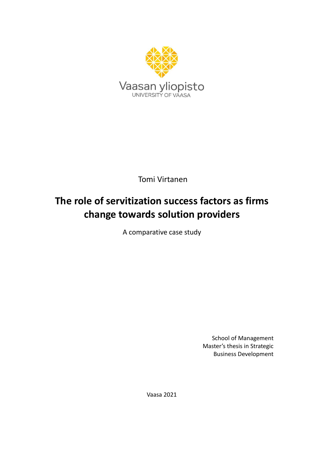

Tomi Virtanen

# **The role of servitization success factors as firms change towards solution providers**

A comparative case study

School of Management Master's thesis in Strategic Business Development

Vaasa 2021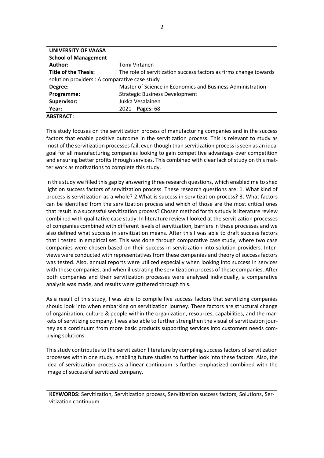| <b>UNIVERSITY OF VAASA</b>                    |                                                                   |
|-----------------------------------------------|-------------------------------------------------------------------|
| <b>School of Management</b>                   |                                                                   |
| Author:                                       | Tomi Virtanen                                                     |
| <b>Title of the Thesis:</b>                   | The role of servitization success factors as firms change towards |
| solution providers : A comparative case study |                                                                   |
| Degree:                                       | Master of Science in Economics and Business Administration        |
| Programme:                                    | <b>Strategic Business Development</b>                             |
| Supervisor:                                   | Jukka Vesalainen                                                  |
| Year:                                         | Pages: 68<br>2021                                                 |
| <b>ABSTRACT:</b>                              |                                                                   |

This study focuses on the servitization process of manufacturing companies and in the success factors that enable positive outcome in the servitization process. This is relevant to study as most of the servitization processes fail, even though than servitization process is seen as an ideal goal for all manufacturing companies looking to gain competitive advantage over competition and ensuring better profits through services. This combined with clear lack of study on this matter work as motivations to complete this study.

In this study we filled this gap by answering three research questions, which enabled me to shed light on success factors of servitization process. These research questions are: 1. What kind of process is servitization as a whole? 2.What is success in servitization process? 3. What factors can be identified from the servitization process and which of those are the most critical ones that result in a successful servitization process? Chosen method for this study is literature review combined with qualitative case study. In literature review I looked at the servitization processes of companies combined with different levels of servitization, barriers in these processes and we also defined what success in servitization means. After this I was able to draft success factors that I tested in empirical set. This was done through comparative case study, where two case companies were chosen based on their success in servitization into solution providers. Interviews were conducted with representatives from these companies and theory of success factors was tested. Also, annual reports were utilized especially when looking into success in services with these companies, and when illustrating the servitization process of these companies. After both companies and their servitization processes were analysed individually, a comparative analysis was made, and results were gathered through this.

As a result of this study, I was able to compile five success factors that servitizing companies should look into when embarking on servitization journey. These factors are structural change of organization, culture & people within the organization, resources, capabilities, and the markets of servitizing company. I was also able to further strengthen the visual of servitization journey as a continuum from more basic products supporting services into customers needs complying solutions.

This study contributes to the servitization literature by compiling success factors of servitization processes within one study, enabling future studies to further look into these factors. Also, the idea of servitization process as a linear continuum is further emphasized combined with the image of successful servitized company.

**KEYWORDS:** Servitization, Servitization process, Servitization success factors, Solutions, Servitization continuum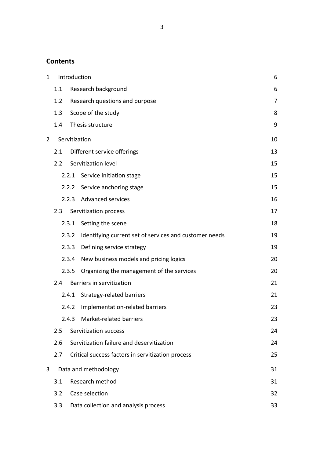# **Contents**

| $\mathbf 1$    |     |       | Introduction                                           | 6  |
|----------------|-----|-------|--------------------------------------------------------|----|
|                | 1.1 |       | Research background                                    | 6  |
|                | 1.2 |       | Research questions and purpose                         | 7  |
|                | 1.3 |       | Scope of the study                                     | 8  |
|                | 1.4 |       | Thesis structure                                       | 9  |
| $\overline{2}$ |     |       | Servitization                                          | 10 |
|                | 2.1 |       | Different service offerings                            | 13 |
|                | 2.2 |       | Servitization level                                    | 15 |
|                |     | 2.2.1 | Service initiation stage                               | 15 |
|                |     | 2.2.2 | Service anchoring stage                                | 15 |
|                |     | 2.2.3 | Advanced services                                      | 16 |
|                | 2.3 |       | Servitization process                                  | 17 |
|                |     | 2.3.1 | Setting the scene                                      | 18 |
|                |     | 2.3.2 | Identifying current set of services and customer needs | 19 |
|                |     | 2.3.3 | Defining service strategy                              | 19 |
|                |     | 2.3.4 | New business models and pricing logics                 | 20 |
|                |     | 2.3.5 | Organizing the management of the services              | 20 |
|                | 2.4 |       | Barriers in servitization                              | 21 |
|                |     | 2.4.1 | Strategy-related barriers                              | 21 |
|                |     | 2.4.2 | Implementation-related barriers                        | 23 |
|                |     |       | 2.4.3 Market-related barriers                          | 23 |
|                | 2.5 |       | Servitization success                                  | 24 |
|                | 2.6 |       | Servitization failure and deservitization              | 24 |
|                | 2.7 |       | Critical success factors in servitization process      | 25 |
| 3              |     |       | Data and methodology                                   | 31 |
|                | 3.1 |       | Research method                                        | 31 |
|                | 3.2 |       | Case selection                                         | 32 |
|                | 3.3 |       | Data collection and analysis process                   | 33 |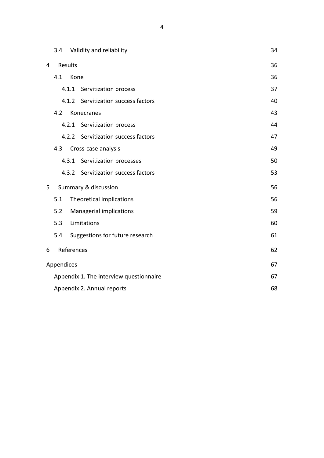|   | 3.4        |            | Validity and reliability                | 34 |
|---|------------|------------|-----------------------------------------|----|
| 4 |            | Results    |                                         | 36 |
|   | 4.1        | Kone       |                                         | 36 |
|   |            | 4.1.1      | Servitization process                   | 37 |
|   |            | 4.1.2      | Servitization success factors           | 40 |
|   | 4.2        |            | Konecranes                              | 43 |
|   |            | 4.2.1      | Servitization process                   | 44 |
|   |            | 4.2.2      | Servitization success factors           | 47 |
|   | 4.3        |            | Cross-case analysis                     | 49 |
|   |            | 4.3.1      | Servitization processes                 | 50 |
|   |            | 4.3.2      | Servitization success factors           | 53 |
| 5 |            |            | Summary & discussion                    | 56 |
|   | 5.1        |            | Theoretical implications                | 56 |
|   | 5.2        |            | Managerial implications                 | 59 |
|   | 5.3        |            | Limitations                             | 60 |
|   | 5.4        |            | Suggestions for future research         | 61 |
| 6 |            | References |                                         | 62 |
|   | Appendices |            |                                         | 67 |
|   |            |            | Appendix 1. The interview questionnaire | 67 |
|   |            |            | Appendix 2. Annual reports              | 68 |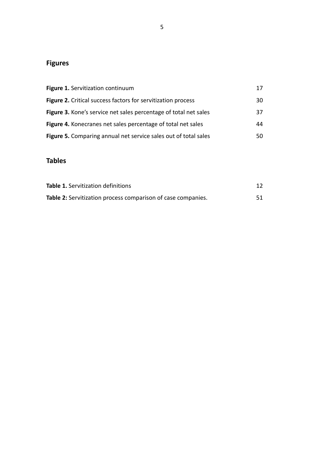# **Figures**

| Figure 1. Servitization continuum                                   | 17 |
|---------------------------------------------------------------------|----|
| <b>Figure 2.</b> Critical success factors for servitization process | 30 |
| Figure 3. Kone's service net sales percentage of total net sales    | 37 |
| Figure 4. Konecranes net sales percentage of total net sales        | 44 |
| Figure 5. Comparing annual net service sales out of total sales     | 50 |

# **Tables**

| Table 1. Servitization definitions                           |  |
|--------------------------------------------------------------|--|
| Table 2: Servitization process comparison of case companies. |  |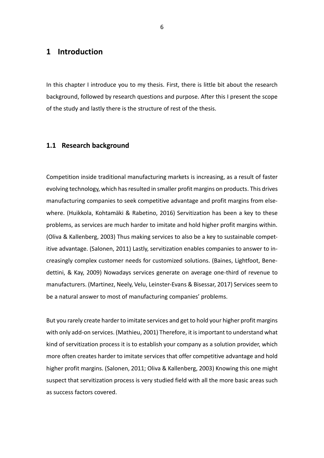# <span id="page-5-0"></span>**1 Introduction**

In this chapter I introduce you to my thesis. First, there is little bit about the research background, followed by research questions and purpose. After this I present the scope of the study and lastly there is the structure of rest of the thesis.

#### <span id="page-5-1"></span>**1.1 Research background**

Competition inside traditional manufacturing markets is increasing, as a result of faster evolving technology, which has resulted in smaller profit margins on products. This drives manufacturing companies to seek competitive advantage and profit margins from elsewhere. (Huikkola, Kohtamäki & Rabetino, 2016) Servitization has been a key to these problems, as services are much harder to imitate and hold higher profit margins within. (Oliva & Kallenberg, 2003) Thus making services to also be a key to sustainable competitive advantage. (Salonen, 2011) Lastly, servitization enables companies to answer to increasingly complex customer needs for customized solutions. (Baines, Lightfoot, Benedettini, & Kay, 2009) Nowadays services generate on average one-third of revenue to manufacturers. (Martinez, Neely, Velu, Leinster-Evans & Bisessar, 2017) Services seem to be a natural answer to most of manufacturing companies' problems.

But you rarely create harder to imitate services and get to hold your higher profit margins with only add-on services. (Mathieu, 2001) Therefore, it is important to understand what kind of servitization process it is to establish your company as a solution provider, which more often creates harder to imitate services that offer competitive advantage and hold higher profit margins. (Salonen, 2011; Oliva & Kallenberg, 2003) Knowing this one might suspect that servitization process is very studied field with all the more basic areas such as success factors covered.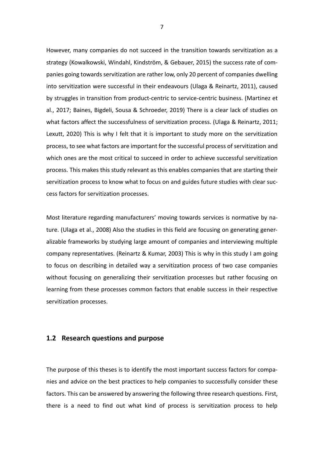However, many companies do not succeed in the transition towards servitization as a strategy (Kowalkowski, Windahl, Kindström, & Gebauer, 2015) the success rate of companies going towards servitization are rather low, only 20 percent of companies dwelling into servitization were successful in their endeavours (Ulaga & Reinartz, 2011), caused by struggles in transition from product-centric to service-centric business. (Martinez et al., 2017; Baines, Bigdeli, Sousa & Schroeder, 2019) There is a clear lack of studies on what factors affect the successfulness of servitization process. (Ulaga & Reinartz, 2011; Lexutt, 2020) This is why I felt that it is important to study more on the servitization process, to see what factors are important for the successful process of servitization and which ones are the most critical to succeed in order to achieve successful servitization process. This makes this study relevant as this enables companies that are starting their servitization process to know what to focus on and guides future studies with clear success factors for servitization processes.

Most literature regarding manufacturers' moving towards services is normative by nature. (Ulaga et al., 2008) Also the studies in this field are focusing on generating generalizable frameworks by studying large amount of companies and interviewing multiple company representatives. (Reinartz & Kumar, 2003) This is why in this study I am going to focus on describing in detailed way a servitization process of two case companies without focusing on generalizing their servitization processes but rather focusing on learning from these processes common factors that enable success in their respective servitization processes.

#### <span id="page-6-0"></span>**1.2 Research questions and purpose**

The purpose of this theses is to identify the most important success factors for companies and advice on the best practices to help companies to successfully consider these factors. This can be answered by answering the following three research questions. First, there is a need to find out what kind of process is servitization process to help

7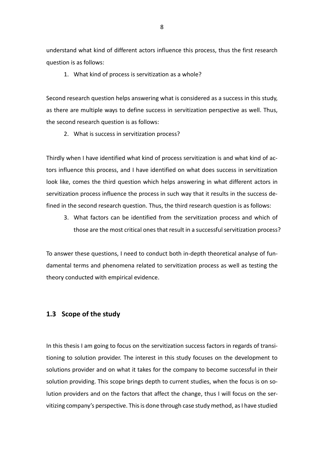understand what kind of different actors influence this process, thus the first research question is as follows:

1. What kind of process is servitization as a whole?

Second research question helps answering what is considered as a success in this study, as there are multiple ways to define success in servitization perspective as well. Thus, the second research question is as follows:

2. What is success in servitization process?

Thirdly when I have identified what kind of process servitization is and what kind of actors influence this process, and I have identified on what does success in servitization look like, comes the third question which helps answering in what different actors in servitization process influence the process in such way that it results in the success defined in the second research question. Thus, the third research question is as follows:

3. What factors can be identified from the servitization process and which of those are the most critical ones that result in a successful servitization process?

To answer these questions, I need to conduct both in-depth theoretical analyse of fundamental terms and phenomena related to servitization process as well as testing the theory conducted with empirical evidence.

# <span id="page-7-0"></span>**1.3 Scope of the study**

In this thesis I am going to focus on the servitization success factors in regards of transitioning to solution provider. The interest in this study focuses on the development to solutions provider and on what it takes for the company to become successful in their solution providing. This scope brings depth to current studies, when the focus is on solution providers and on the factors that affect the change, thus I will focus on the servitizing company's perspective. This is done through case study method, as I have studied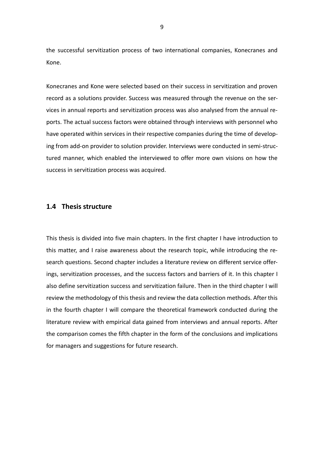the successful servitization process of two international companies, Konecranes and Kone.

Konecranes and Kone were selected based on their success in servitization and proven record as a solutions provider. Success was measured through the revenue on the services in annual reports and servitization process was also analysed from the annual reports. The actual success factors were obtained through interviews with personnel who have operated within services in their respective companies during the time of developing from add-on provider to solution provider. Interviews were conducted in semi-structured manner, which enabled the interviewed to offer more own visions on how the success in servitization process was acquired.

#### <span id="page-8-0"></span>**1.4 Thesis structure**

This thesis is divided into five main chapters. In the first chapter I have introduction to this matter, and I raise awareness about the research topic, while introducing the research questions. Second chapter includes a literature review on different service offerings, servitization processes, and the success factors and barriers of it. In this chapter I also define servitization success and servitization failure. Then in the third chapter I will review the methodology of this thesis and review the data collection methods. After this in the fourth chapter I will compare the theoretical framework conducted during the literature review with empirical data gained from interviews and annual reports. After the comparison comes the fifth chapter in the form of the conclusions and implications for managers and suggestions for future research.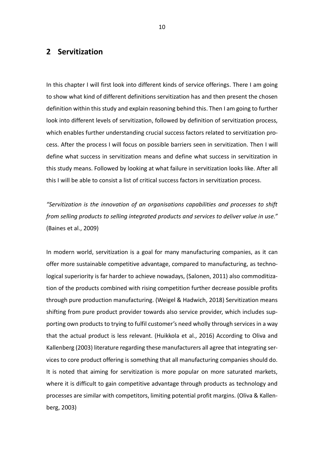# <span id="page-9-0"></span>**2 Servitization**

In this chapter I will first look into different kinds of service offerings. There I am going to show what kind of different definitions servitization has and then present the chosen definition within this study and explain reasoning behind this. Then I am going to further look into different levels of servitization, followed by definition of servitization process, which enables further understanding crucial success factors related to servitization process. After the process I will focus on possible barriers seen in servitization. Then I will define what success in servitization means and define what success in servitization in this study means. Followed by looking at what failure in servitization looks like. After all this I will be able to consist a list of critical success factors in servitization process.

*"Servitization is the innovation of an organisations capabilities and processes to shift from selling products to selling integrated products and services to deliver value in use."* (Baines et al., 2009)

In modern world, servitization is a goal for many manufacturing companies, as it can offer more sustainable competitive advantage, compared to manufacturing, as technological superiority is far harder to achieve nowadays, (Salonen, 2011) also commoditization of the products combined with rising competition further decrease possible profits through pure production manufacturing. (Weigel & Hadwich, 2018) Servitization means shifting from pure product provider towards also service provider, which includes supporting own products to trying to fulfil customer's need wholly through services in a way that the actual product is less relevant. (Huikkola et al., 2016) According to Oliva and Kallenberg (2003) literature regarding these manufacturers all agree that integrating services to core product offering is something that all manufacturing companies should do. It is noted that aiming for servitization is more popular on more saturated markets, where it is difficult to gain competitive advantage through products as technology and processes are similar with competitors, limiting potential profit margins. (Oliva & Kallenberg, 2003)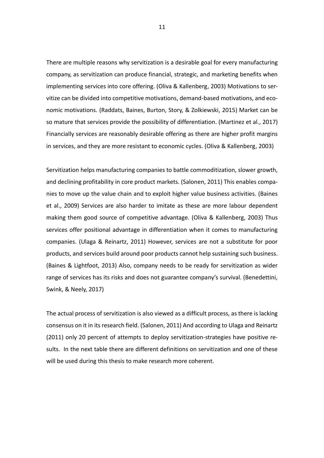There are multiple reasons why servitization is a desirable goal for every manufacturing company, as servitization can produce financial, strategic, and marketing benefits when implementing services into core offering. (Oliva & Kallenberg, 2003) Motivations to servitize can be divided into competitive motivations, demand-based motivations, and economic motivations. (Raddats, Baines, Burton, Story, & Zolkiewski, 2015) Market can be so mature that services provide the possibility of differentiation. (Martinez et al., 2017) Financially services are reasonably desirable offering as there are higher profit margins in services, and they are more resistant to economic cycles. (Oliva & Kallenberg, 2003)

Servitization helps manufacturing companies to battle commoditization, slower growth, and declining profitability in core product markets. (Salonen, 2011) This enables companies to move up the value chain and to exploit higher value business activities. (Baines et al., 2009) Services are also harder to imitate as these are more labour dependent making them good source of competitive advantage. (Oliva & Kallenberg, 2003) Thus services offer positional advantage in differentiation when it comes to manufacturing companies. (Ulaga & Reinartz, 2011) However, services are not a substitute for poor products, and services build around poor products cannot help sustaining such business. (Baines & Lightfoot, 2013) Also, company needs to be ready for servitization as wider range of services has its risks and does not guarantee company's survival. (Benedettini, Swink, & Neely, 2017)

The actual process of servitization is also viewed as a difficult process, as there is lacking consensus on it in itsresearch field. (Salonen, 2011) And according to Ulaga and Reinartz (2011) only 20 percent of attempts to deploy servitization-strategies have positive results. In the next table there are different definitions on servitization and one of these will be used during this thesis to make research more coherent.

11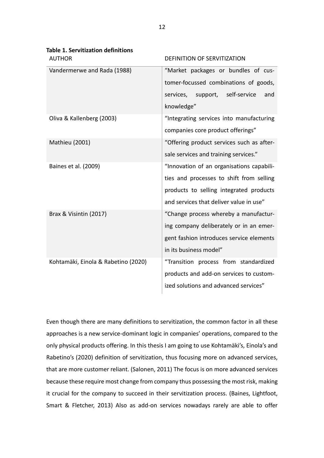| <b>Table 1. Servitization definitions</b><br><b>AUTHOR</b> | <b>DEFINITION OF SERVITIZATION</b>        |  |
|------------------------------------------------------------|-------------------------------------------|--|
|                                                            |                                           |  |
| Vandermerwe and Rada (1988)                                | "Market packages or bundles of cus-       |  |
|                                                            | tomer-focussed combinations of goods,     |  |
|                                                            | services, support, self-service<br>and    |  |
|                                                            | knowledge"                                |  |
| Oliva & Kallenberg (2003)                                  | "Integrating services into manufacturing  |  |
|                                                            | companies core product offerings"         |  |
| <b>Mathieu (2001)</b>                                      | "Offering product services such as after- |  |
|                                                            | sale services and training services."     |  |
| Baines et al. (2009)                                       | "Innovation of an organisations capabili- |  |
|                                                            | ties and processes to shift from selling  |  |
|                                                            | products to selling integrated products   |  |
|                                                            | and services that deliver value in use"   |  |
| Brax & Visintin (2017)                                     | "Change process whereby a manufactur-     |  |
|                                                            | ing company deliberately or in an emer-   |  |
|                                                            | gent fashion introduces service elements  |  |
|                                                            | in its business model"                    |  |
| Kohtamäki, Einola & Rabetino (2020)                        | "Transition process from standardized     |  |
|                                                            | products and add-on services to custom-   |  |
|                                                            | ized solutions and advanced services"     |  |
|                                                            |                                           |  |

Even though there are many definitions to servitization, the common factor in all these approaches is a new service-dominant logic in companies' operations, compared to the only physical products offering. In this thesis I am going to use Kohtamäki's, Einola's and Rabetino's (2020) definition of servitization, thus focusing more on advanced services, that are more customer reliant. (Salonen, 2011) The focus is on more advanced services because these require most change from company thus possessing the most risk, making it crucial for the company to succeed in their servitization process. (Baines, Lightfoot, Smart & Fletcher, 2013) Also as add-on services nowadays rarely are able to offer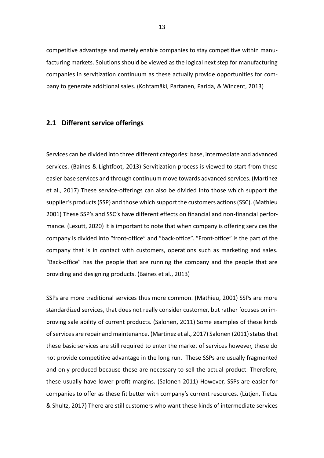competitive advantage and merely enable companies to stay competitive within manufacturing markets. Solutions should be viewed as the logical next step for manufacturing companies in servitization continuum as these actually provide opportunities for company to generate additional sales. (Kohtamäki, Partanen, Parida, & Wincent, 2013)

# <span id="page-12-0"></span>**2.1 Different service offerings**

Services can be divided into three different categories: base, intermediate and advanced services. (Baines & Lightfoot, 2013) Servitization process is viewed to start from these easier base services and through continuum move towards advanced services. (Martinez et al., 2017) These service-offerings can also be divided into those which support the supplier's products (SSP) and those which support the customers actions(SSC). (Mathieu 2001) These SSP's and SSC's have different effects on financial and non-financial performance. (Lexutt, 2020) It is important to note that when company is offering services the company is divided into "front-office" and "back-office". "Front-office" is the part of the company that is in contact with customers, operations such as marketing and sales. "Back-office" has the people that are running the company and the people that are providing and designing products. (Baines et al., 2013)

SSPs are more traditional services thus more common. (Mathieu, 2001) SSPs are more standardized services, that does not really consider customer, but rather focuses on improving sale ability of current products. (Salonen, 2011) Some examples of these kinds of services are repair and maintenance. (Martinez et al., 2017) Salonen (2011) states that these basic services are still required to enter the market of services however, these do not provide competitive advantage in the long run. These SSPs are usually fragmented and only produced because these are necessary to sell the actual product. Therefore, these usually have lower profit margins. (Salonen 2011) However, SSPs are easier for companies to offer as these fit better with company's current resources. (Lütjen, Tietze & Shultz, 2017) There are still customers who want these kinds of intermediate services

13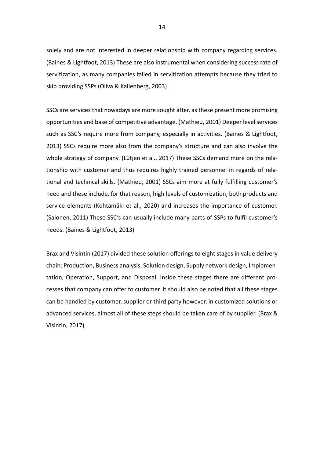solely and are not interested in deeper relationship with company regarding services. (Baines & Lightfoot, 2013) These are also instrumental when considering success rate of servitization, as many companies failed in servitization attempts because they tried to skip providing SSPs (Oliva & Kallenberg, 2003)

SSCs are services that nowadays are more sought after, as these present more promising opportunities and base of competitive advantage. (Mathieu, 2001) Deeper level services such as SSC's require more from company, especially in activities. (Baines & Lightfoot, 2013) SSCs require more also from the company's structure and can also involve the whole strategy of company. (Lütjen et al., 2017) These SSCs demand more on the relationship with customer and thus requires highly trained personnel in regards of relational and technical skills. (Mathieu, 2001) SSCs aim more at fully fulfilling customer's need and these include, for that reason, high levels of customization, both products and service elements (Kohtamäki et al., 2020) and increases the importance of customer. (Salonen, 2011) These SSC's can usually include many parts of SSPs to fulfil customer's needs. (Baines & Lightfoot, 2013)

Brax and Visintin (2017) divided these solution offerings to eight stages in value delivery chain: Production, Business analysis, Solution design, Supply network design, Implementation, Operation, Support, and Disposal. Inside these stages there are different processes that company can offer to customer. It should also be noted that all these stages can be handled by customer, supplier or third party however, in customized solutions or advanced services, almost all of these steps should be taken care of by supplier. (Brax & Visintin, 2017)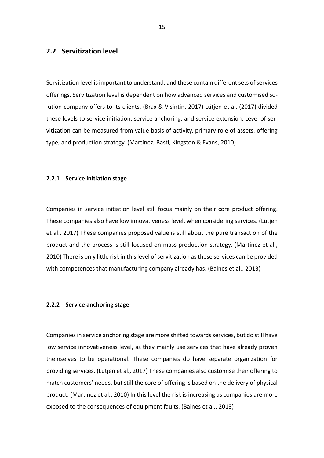## <span id="page-14-0"></span>**2.2 Servitization level**

Servitization level is important to understand, and these contain different sets of services offerings. Servitization level is dependent on how advanced services and customised solution company offers to its clients. (Brax & Visintin, 2017) Lütjen et al. (2017) divided these levels to service initiation, service anchoring, and service extension. Level of servitization can be measured from value basis of activity, primary role of assets, offering type, and production strategy. (Martinez, Bastl, Kingston & Evans, 2010)

#### <span id="page-14-1"></span>**2.2.1 Service initiation stage**

Companies in service initiation level still focus mainly on their core product offering. These companies also have low innovativeness level, when considering services. (Lütjen et al., 2017) These companies proposed value is still about the pure transaction of the product and the process is still focused on mass production strategy. (Martinez et al., 2010) There is only little risk in this level of servitization as these services can be provided with competences that manufacturing company already has. (Baines et al., 2013)

#### <span id="page-14-2"></span>**2.2.2 Service anchoring stage**

Companies in service anchoring stage are more shifted towards services, but do still have low service innovativeness level, as they mainly use services that have already proven themselves to be operational. These companies do have separate organization for providing services. (Lütjen et al., 2017) These companies also customise their offering to match customers' needs, but still the core of offering is based on the delivery of physical product. (Martinez et al., 2010) In this level the risk is increasing as companies are more exposed to the consequences of equipment faults. (Baines et al., 2013)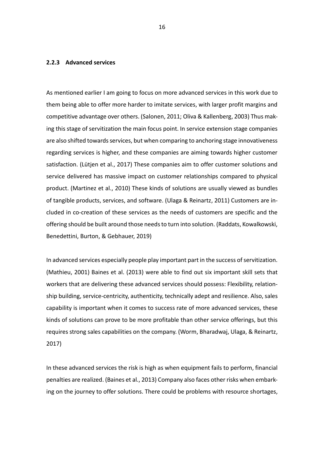#### <span id="page-15-0"></span>**2.2.3 Advanced services**

As mentioned earlier I am going to focus on more advanced services in this work due to them being able to offer more harder to imitate services, with larger profit margins and competitive advantage over others. (Salonen, 2011; Oliva & Kallenberg, 2003) Thus making this stage of servitization the main focus point. In service extension stage companies are also shifted towards services, but when comparing to anchoring stage innovativeness regarding services is higher, and these companies are aiming towards higher customer satisfaction. (Lütjen et al., 2017) These companies aim to offer customer solutions and service delivered has massive impact on customer relationships compared to physical product. (Martinez et al., 2010) These kinds of solutions are usually viewed as bundles of tangible products, services, and software. (Ulaga & Reinartz, 2011) Customers are included in co-creation of these services as the needs of customers are specific and the offering should be built around those needs to turn into solution. (Raddats, Kowalkowski, Benedettini, Burton, & Gebhauer, 2019)

In advanced services especially people play important part in the success of servitization. (Mathieu, 2001) Baines et al. (2013) were able to find out six important skill sets that workers that are delivering these advanced services should possess: Flexibility, relationship building, service-centricity, authenticity, technically adept and resilience. Also, sales capability is important when it comes to success rate of more advanced services, these kinds of solutions can prove to be more profitable than other service offerings, but this requires strong sales capabilities on the company. (Worm, Bharadwaj, Ulaga, & Reinartz, 2017)

In these advanced services the risk is high as when equipment fails to perform, financial penalties are realized. (Baines et al., 2013) Company also faces other risks when embarking on the journey to offer solutions. There could be problems with resource shortages,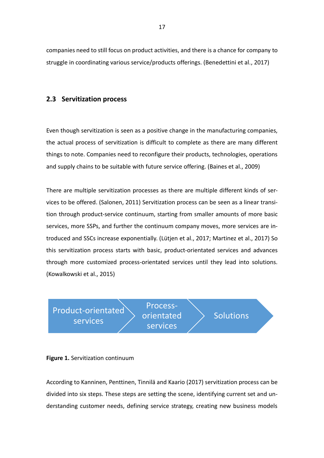companies need to still focus on product activities, and there is a chance for company to struggle in coordinating various service/products offerings. (Benedettini et al., 2017)

# <span id="page-16-0"></span>**2.3 Servitization process**

Even though servitization is seen as a positive change in the manufacturing companies, the actual process of servitization is difficult to complete as there are many different things to note. Companies need to reconfigure their products, technologies, operations and supply chains to be suitable with future service offering. (Baines et al., 2009)

There are multiple servitization processes as there are multiple different kinds of services to be offered. (Salonen, 2011) Servitization process can be seen as a linear transition through product-service continuum, starting from smaller amounts of more basic services, more SSPs, and further the continuum company moves, more services are introduced and SSCs increase exponentially. (Lütjen et al., 2017; Martinez et al., 2017) So this servitization process starts with basic, product-orientated services and advances through more customized process-orientated services until they lead into solutions. (Kowalkowski et al., 2015)

Product-orientated services

Processorientated services

**Solutions** 

#### **Figure 1.** Servitization continuum

According to Kanninen, Penttinen, Tinnilä and Kaario (2017) servitization process can be divided into six steps. These steps are setting the scene, identifying current set and understanding customer needs, defining service strategy, creating new business models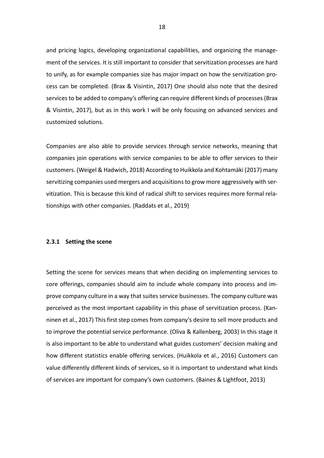and pricing logics, developing organizational capabilities, and organizing the management of the services. It is still important to consider that servitization processes are hard to unify, as for example companies size has major impact on how the servitization process can be completed. (Brax & Visintin, 2017) One should also note that the desired services to be added to company's offering can require different kinds of processes (Brax & Visintin, 2017), but as in this work I will be only focusing on advanced services and customized solutions.

Companies are also able to provide services through service networks, meaning that companies join operations with service companies to be able to offer services to their customers. (Weigel & Hadwich, 2018) According to Huikkola and Kohtamäki (2017) many servitizing companies used mergers and acquisitions to grow more aggressively with servitization. This is because this kind of radical shift to services requires more formal relationships with other companies. (Raddats et al., 2019)

#### <span id="page-17-0"></span>**2.3.1 Setting the scene**

Setting the scene for services means that when deciding on implementing services to core offerings, companies should aim to include whole company into process and improve company culture in a way that suites service businesses. The company culture was perceived as the most important capability in this phase of servitization process. (Kanninen et al., 2017) This first step comes from company's desire to sell more products and to improve the potential service performance. (Oliva & Kallenberg, 2003) In this stage it is also important to be able to understand what guides customers' decision making and how different statistics enable offering services. (Huikkola et al., 2016) Customers can value differently different kinds of services, so it is important to understand what kinds of services are important for company's own customers. (Baines & Lightfoot, 2013)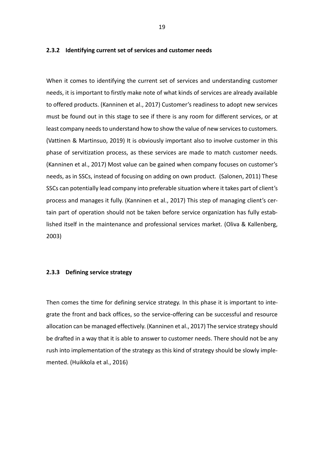#### <span id="page-18-0"></span>**2.3.2 Identifying current set of services and customer needs**

When it comes to identifying the current set of services and understanding customer needs, it is important to firstly make note of what kinds of services are already available to offered products. (Kanninen et al., 2017) Customer's readiness to adopt new services must be found out in this stage to see if there is any room for different services, or at least company needs to understand how to show the value of new services to customers. (Vattinen & Martinsuo, 2019) It is obviously important also to involve customer in this phase of servitization process, as these services are made to match customer needs. (Kanninen et al., 2017) Most value can be gained when company focuses on customer's needs, as in SSCs, instead of focusing on adding on own product. (Salonen, 2011) These SSCs can potentially lead company into preferable situation where it takes part of client's process and manages it fully. (Kanninen et al., 2017) This step of managing client's certain part of operation should not be taken before service organization has fully established itself in the maintenance and professional services market. (Oliva & Kallenberg, 2003)

#### <span id="page-18-1"></span>**2.3.3 Defining service strategy**

Then comes the time for defining service strategy. In this phase it is important to integrate the front and back offices, so the service-offering can be successful and resource allocation can be managed effectively. (Kanninen et al., 2017) The service strategy should be drafted in a way that it is able to answer to customer needs. There should not be any rush into implementation of the strategy as this kind of strategy should be slowly implemented. (Huikkola et al., 2016)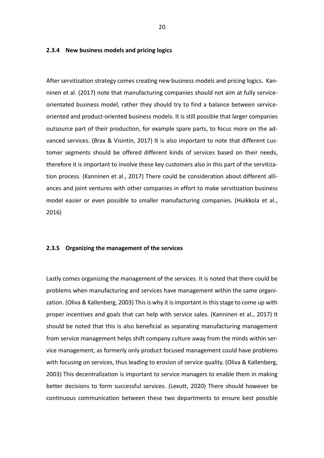#### <span id="page-19-0"></span>**2.3.4 New business models and pricing logics**

After servitization strategy comes creating new business models and pricing logics. Kanninen et al. (2017) note that manufacturing companies should not aim at fully serviceorientated business model, rather they should try to find a balance between serviceoriented and product-oriented business models. It is still possible that larger companies outsource part of their production, for example spare parts, to focus more on the advanced services. (Brax & Visintin, 2017) It is also important to note that different customer segments should be offered different kinds of services based on their needs, therefore it is important to involve these key customers also in this part of the servitization process. (Kanninen et al., 2017) There could be consideration about different alliances and joint ventures with other companies in effort to make servitization business model easier or even possible to smaller manufacturing companies. (Huikkola et al., 2016)

#### <span id="page-19-1"></span>**2.3.5 Organizing the management of the services**

Lastly comes organizing the management of the services. It is noted that there could be problems when manufacturing and services have management within the same organization. (Oliva & Kallenberg, 2003) This is why it is important in this stage to come up with proper incentives and goals that can help with service sales. (Kanninen et al., 2017) It should be noted that this is also beneficial as separating manufacturing management from service management helps shift company culture away from the minds within service management, as formerly only product focused management could have problems with focusing on services, thus leading to erosion of service quality. (Oliva & Kallenberg, 2003) This decentralization is important to service managers to enable them in making better decisions to form successful services. (Lexutt, 2020) There should however be continuous communication between these two departments to ensure best possible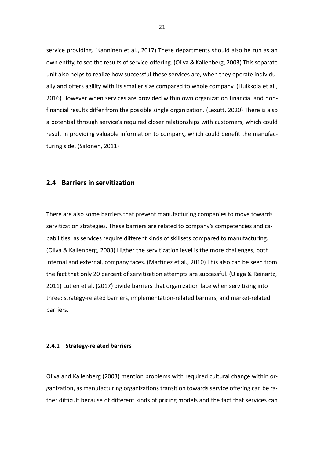service providing. (Kanninen et al., 2017) These departments should also be run as an own entity, to see the results of service-offering. (Oliva & Kallenberg, 2003) This separate unit also helps to realize how successful these services are, when they operate individually and offers agility with its smaller size compared to whole company. (Huikkola et al., 2016) However when services are provided within own organization financial and nonfinancial results differ from the possible single organization. (Lexutt, 2020) There is also a potential through service's required closer relationships with customers, which could result in providing valuable information to company, which could benefit the manufacturing side. (Salonen, 2011)

#### <span id="page-20-0"></span>**2.4 Barriers in servitization**

There are also some barriers that prevent manufacturing companies to move towards servitization strategies. These barriers are related to company's competencies and capabilities, as services require different kinds of skillsets compared to manufacturing. (Oliva & Kallenberg, 2003) Higher the servitization level is the more challenges, both internal and external, company faces. (Martinez et al., 2010) This also can be seen from the fact that only 20 percent of servitization attempts are successful. (Ulaga & Reinartz, 2011) Lütjen et al. (2017) divide barriers that organization face when servitizing into three: strategy-related barriers, implementation-related barriers, and market-related barriers.

#### <span id="page-20-1"></span>**2.4.1 Strategy-related barriers**

Oliva and Kallenberg (2003) mention problems with required cultural change within organization, as manufacturing organizations transition towards service offering can be rather difficult because of different kinds of pricing models and the fact that services can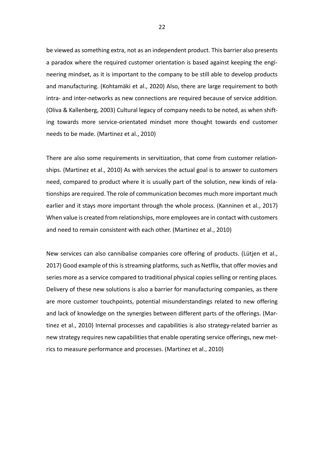be viewed as something extra, not as an independent product. This barrier also presents a paradox where the required customer orientation is based against keeping the engineering mindset, as it is important to the company to be still able to develop products and manufacturing. (Kohtamäki et al., 2020) Also, there are large requirement to both intra- and inter-networks as new connections are required because of service addition. (Oliva & Kallenberg, 2003) Cultural legacy of company needs to be noted, as when shifting towards more service-orientated mindset more thought towards end customer needs to be made. (Martinez et al., 2010)

There are also some requirements in servitization, that come from customer relationships. (Martinez et al., 2010) As with services the actual goal is to answer to customers need, compared to product where it is usually part of the solution, new kinds of relationships are required. The role of communication becomes much more important much earlier and it stays more important through the whole process. (Kanninen et al., 2017) When value is created from relationships, more employees are in contact with customers and need to remain consistent with each other. (Martinez et al., 2010)

New services can also cannibalise companies core offering of products. (Lütjen et al., 2017) Good example of this is streaming platforms, such as Netflix, that offer movies and series more as a service compared to traditional physical copies selling or renting places. Delivery of these new solutions is also a barrier for manufacturing companies, as there are more customer touchpoints, potential misunderstandings related to new offering and lack of knowledge on the synergies between different parts of the offerings. (Martinez et al., 2010) Internal processes and capabilities is also strategy-related barrier as new strategy requires new capabilities that enable operating service offerings, new metrics to measure performance and processes. (Martinez et al., 2010)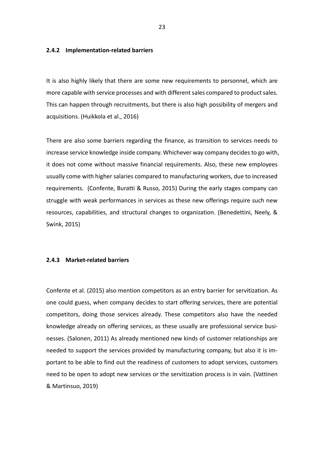#### <span id="page-22-0"></span>**2.4.2 Implementation-related barriers**

It is also highly likely that there are some new requirements to personnel, which are more capable with service processes and with different sales compared to product sales. This can happen through recruitments, but there is also high possibility of mergers and acquisitions. (Huikkola et al., 2016)

There are also some barriers regarding the finance, as transition to services needs to increase service knowledge inside company. Whichever way company decides to go with, it does not come without massive financial requirements. Also, these new employees usually come with higher salaries compared to manufacturing workers, due to increased requirements. (Confente, Buratti & Russo, 2015) During the early stages company can struggle with weak performances in services as these new offerings require such new resources, capabilities, and structural changes to organization. (Benedettini, Neely, & Swink, 2015)

#### <span id="page-22-1"></span>**2.4.3 Market-related barriers**

Confente et al. (2015) also mention competitors as an entry barrier for servitization. As one could guess, when company decides to start offering services, there are potential competitors, doing those services already. These competitors also have the needed knowledge already on offering services, as these usually are professional service businesses. (Salonen, 2011) As already mentioned new kinds of customer relationships are needed to support the services provided by manufacturing company, but also it is important to be able to find out the readiness of customers to adopt services, customers need to be open to adopt new services or the servitization process is in vain. (Vattinen & Martinsuo, 2019)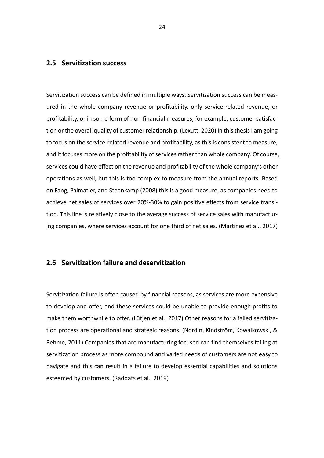## <span id="page-23-0"></span>**2.5 Servitization success**

Servitization success can be defined in multiple ways. Servitization success can be measured in the whole company revenue or profitability, only service-related revenue, or profitability, or in some form of non-financial measures, for example, customer satisfaction or the overall quality of customer relationship. (Lexutt, 2020) In this thesis I am going to focus on the service-related revenue and profitability, as this is consistent to measure, and it focuses more on the profitability of services rather than whole company. Of course, services could have effect on the revenue and profitability of the whole company's other operations as well, but this is too complex to measure from the annual reports. Based on Fang, Palmatier, and Steenkamp (2008) this is a good measure, as companies need to achieve net sales of services over 20%-30% to gain positive effects from service transition. This line is relatively close to the average success of service sales with manufacturing companies, where services account for one third of net sales. (Martinez et al., 2017)

## <span id="page-23-1"></span>**2.6 Servitization failure and deservitization**

Servitization failure is often caused by financial reasons, as services are more expensive to develop and offer, and these services could be unable to provide enough profits to make them worthwhile to offer. (Lütjen et al., 2017) Other reasons for a failed servitization process are operational and strategic reasons. (Nordin, Kindström, Kowalkowski, & Rehme, 2011) Companies that are manufacturing focused can find themselves failing at servitization process as more compound and varied needs of customers are not easy to navigate and this can result in a failure to develop essential capabilities and solutions esteemed by customers. (Raddats et al., 2019)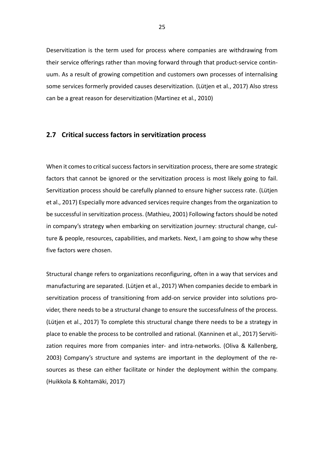Deservitization is the term used for process where companies are withdrawing from their service offerings rather than moving forward through that product-service continuum. As a result of growing competition and customers own processes of internalising some services formerly provided causes deservitization. (Lütjen et al., 2017) Also stress can be a great reason for deservitization (Martinez et al., 2010)

#### <span id="page-24-0"></span>**2.7 Critical success factors in servitization process**

When it comes to critical success factors in servitization process, there are some strategic factors that cannot be ignored or the servitization process is most likely going to fail. Servitization process should be carefully planned to ensure higher success rate. (Lütjen et al., 2017) Especially more advanced services require changes from the organization to be successful in servitization process. (Mathieu, 2001) Following factors should be noted in company's strategy when embarking on servitization journey: structural change, culture & people, resources, capabilities, and markets. Next, I am going to show why these five factors were chosen.

Structural change refers to organizations reconfiguring, often in a way that services and manufacturing are separated. (Lütjen et al., 2017) When companies decide to embark in servitization process of transitioning from add-on service provider into solutions provider, there needs to be a structural change to ensure the successfulness of the process. (Lütjen et al., 2017) To complete this structural change there needs to be a strategy in place to enable the process to be controlled and rational. (Kanninen et al., 2017) Servitization requires more from companies inter- and intra-networks. (Oliva & Kallenberg, 2003) Company's structure and systems are important in the deployment of the resources as these can either facilitate or hinder the deployment within the company. (Huikkola & Kohtamäki, 2017)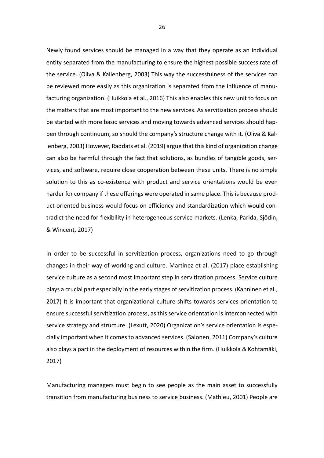Newly found services should be managed in a way that they operate as an individual entity separated from the manufacturing to ensure the highest possible success rate of the service. (Oliva & Kallenberg, 2003) This way the successfulness of the services can be reviewed more easily as this organization is separated from the influence of manufacturing organization. (Huikkola et al., 2016) This also enables this new unit to focus on the matters that are most important to the new services. As servitization process should be started with more basic services and moving towards advanced services should happen through continuum, so should the company's structure change with it. (Oliva & Kallenberg, 2003) However, Raddats et al. (2019) argue that this kind of organization change can also be harmful through the fact that solutions, as bundles of tangible goods, services, and software, require close cooperation between these units. There is no simple solution to this as co-existence with product and service orientations would be even harder for company if these offerings were operated in same place. This is because product-oriented business would focus on efficiency and standardization which would contradict the need for flexibility in heterogeneous service markets. (Lenka, Parida, Sjödin, & Wincent, 2017)

In order to be successful in servitization process, organizations need to go through changes in their way of working and culture. Martinez et al. (2017) place establishing service culture as a second most important step in servitization process. Service culture plays a crucial part especially in the early stages of servitization process. (Kanninen et al., 2017) It is important that organizational culture shifts towards services orientation to ensure successful servitization process, as this service orientation is interconnected with service strategy and structure. (Lexutt, 2020) Organization's service orientation is especially important when it comes to advanced services. (Salonen, 2011) Company's culture also plays a part in the deployment of resources within the firm. (Huikkola & Kohtamäki, 2017)

Manufacturing managers must begin to see people as the main asset to successfully transition from manufacturing business to service business. (Mathieu, 2001) People are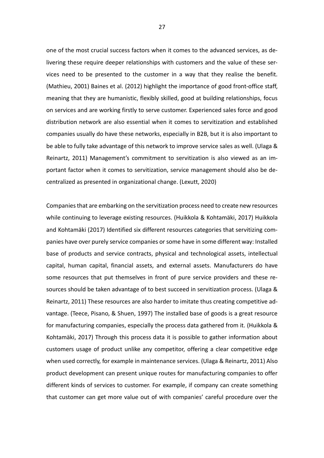one of the most crucial success factors when it comes to the advanced services, as delivering these require deeper relationships with customers and the value of these services need to be presented to the customer in a way that they realise the benefit. (Mathieu, 2001) Baines et al. (2012) highlight the importance of good front-office staff, meaning that they are humanistic, flexibly skilled, good at building relationships, focus on services and are working firstly to serve customer. Experienced sales force and good distribution network are also essential when it comes to servitization and established companies usually do have these networks, especially in B2B, but it is also important to be able to fully take advantage of this network to improve service sales as well. (Ulaga & Reinartz, 2011) Management's commitment to servitization is also viewed as an important factor when it comes to servitization, service management should also be decentralized as presented in organizational change. (Lexutt, 2020)

Companies that are embarking on the servitization process need to create new resources while continuing to leverage existing resources. (Huikkola & Kohtamäki, 2017) Huikkola and Kohtamäki (2017) Identified six different resources categories that servitizing companies have over purely service companies or some have in some different way: Installed base of products and service contracts, physical and technological assets, intellectual capital, human capital, financial assets, and external assets. Manufacturers do have some resources that put themselves in front of pure service providers and these resources should be taken advantage of to best succeed in servitization process. (Ulaga & Reinartz, 2011) These resources are also harder to imitate thus creating competitive advantage. (Teece, Pisano, & Shuen, 1997) The installed base of goods is a great resource for manufacturing companies, especially the process data gathered from it. (Huikkola & Kohtamäki, 2017) Through this process data it is possible to gather information about customers usage of product unlike any competitor, offering a clear competitive edge when used correctly, for example in maintenance services. (Ulaga & Reinartz, 2011) Also product development can present unique routes for manufacturing companies to offer different kinds of services to customer. For example, if company can create something that customer can get more value out of with companies' careful procedure over the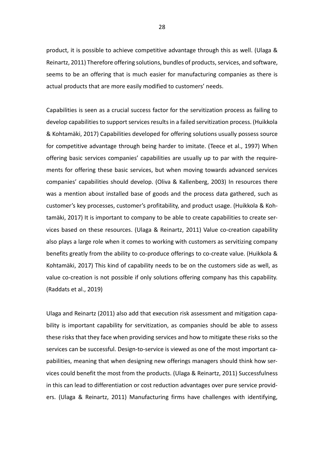product, it is possible to achieve competitive advantage through this as well. (Ulaga & Reinartz, 2011) Therefore offering solutions, bundles of products, services, and software, seems to be an offering that is much easier for manufacturing companies as there is actual products that are more easily modified to customers' needs.

Capabilities is seen as a crucial success factor for the servitization process as failing to develop capabilities to support services results in a failed servitization process. (Huikkola & Kohtamäki, 2017) Capabilities developed for offering solutions usually possess source for competitive advantage through being harder to imitate. (Teece et al., 1997) When offering basic services companies' capabilities are usually up to par with the requirements for offering these basic services, but when moving towards advanced services companies' capabilities should develop. (Oliva & Kallenberg, 2003) In resources there was a mention about installed base of goods and the process data gathered, such as customer's key processes, customer's profitability, and product usage. (Huikkola & Kohtamäki, 2017) It is important to company to be able to create capabilities to create services based on these resources. (Ulaga & Reinartz, 2011) Value co-creation capability also plays a large role when it comes to working with customers as servitizing company benefits greatly from the ability to co-produce offerings to co-create value. (Huikkola & Kohtamäki, 2017) This kind of capability needs to be on the customers side as well, as value co-creation is not possible if only solutions offering company has this capability. (Raddats et al., 2019)

Ulaga and Reinartz (2011) also add that execution risk assessment and mitigation capability is important capability for servitization, as companies should be able to assess these risks that they face when providing services and how to mitigate these risks so the services can be successful. Design-to-service is viewed as one of the most important capabilities, meaning that when designing new offerings managers should think how services could benefit the most from the products. (Ulaga & Reinartz, 2011) Successfulness in this can lead to differentiation or cost reduction advantages over pure service providers. (Ulaga & Reinartz, 2011) Manufacturing firms have challenges with identifying,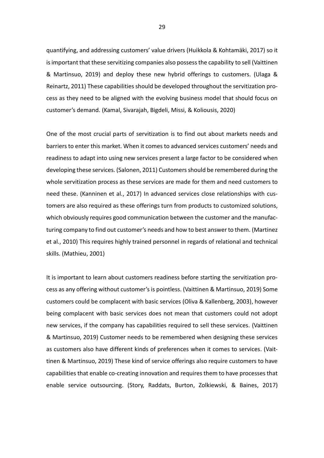quantifying, and addressing customers' value drivers (Huikkola & Kohtamäki, 2017) so it is important that these servitizing companies also possess the capability to sell (Vaittinen & Martinsuo, 2019) and deploy these new hybrid offerings to customers. (Ulaga & Reinartz, 2011) These capabilities should be developed throughout the servitization process as they need to be aligned with the evolving business model that should focus on customer's demand. (Kamal, Sivarajah, Bigdeli, Missi, & Koliousis, 2020)

One of the most crucial parts of servitization is to find out about markets needs and barriers to enter this market. When it comes to advanced services customers' needs and readiness to adapt into using new services present a large factor to be considered when developing these services. (Salonen, 2011) Customers should be remembered during the whole servitization process as these services are made for them and need customers to need these. (Kanninen et al., 2017) In advanced services close relationships with customers are also required as these offerings turn from products to customized solutions, which obviously requires good communication between the customer and the manufacturing company to find out customer's needs and how to best answer to them. (Martinez et al., 2010) This requires highly trained personnel in regards of relational and technical skills. (Mathieu, 2001)

It is important to learn about customers readiness before starting the servitization process as any offering without customer's is pointless. (Vaittinen & Martinsuo, 2019) Some customers could be complacent with basic services (Oliva & Kallenberg, 2003), however being complacent with basic services does not mean that customers could not adopt new services, if the company has capabilities required to sell these services. (Vaittinen & Martinsuo, 2019) Customer needs to be remembered when designing these services as customers also have different kinds of preferences when it comes to services. (Vaittinen & Martinsuo, 2019) These kind of service offerings also require customers to have capabilities that enable co-creating innovation and requires them to have processes that enable service outsourcing. (Story, Raddats, Burton, Zolkiewski, & Baines, 2017)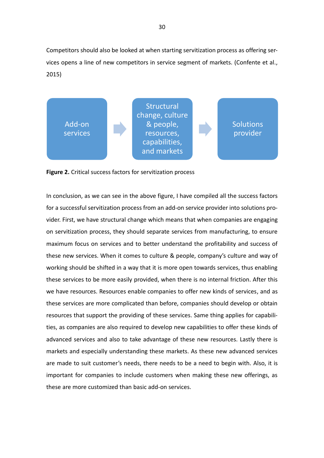Competitors should also be looked at when starting servitization process as offering services opens a line of new competitors in service segment of markets. (Confente et al., 2015)



**Figure 2.** Critical success factors for servitization process

In conclusion, as we can see in the above figure, I have compiled all the success factors for a successful servitization process from an add-on service provider into solutions provider. First, we have structural change which means that when companies are engaging on servitization process, they should separate services from manufacturing, to ensure maximum focus on services and to better understand the profitability and success of these new services. When it comes to culture & people, company's culture and way of working should be shifted in a way that it is more open towards services, thus enabling these services to be more easily provided, when there is no internal friction. After this we have resources. Resources enable companies to offer new kinds of services, and as these services are more complicated than before, companies should develop or obtain resources that support the providing of these services. Same thing applies for capabilities, as companies are also required to develop new capabilities to offer these kinds of advanced services and also to take advantage of these new resources. Lastly there is markets and especially understanding these markets. As these new advanced services are made to suit customer's needs, there needs to be a need to begin with. Also, it is important for companies to include customers when making these new offerings, as these are more customized than basic add-on services.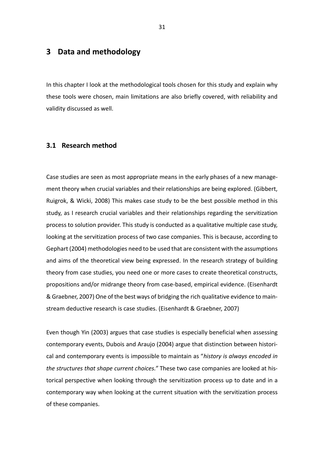# <span id="page-30-0"></span>**3 Data and methodology**

In this chapter I look at the methodological tools chosen for this study and explain why these tools were chosen, main limitations are also briefly covered, with reliability and validity discussed as well.

#### <span id="page-30-1"></span>**3.1 Research method**

Case studies are seen as most appropriate means in the early phases of a new management theory when crucial variables and their relationships are being explored. (Gibbert, Ruigrok, & Wicki, 2008) This makes case study to be the best possible method in this study, as I research crucial variables and their relationships regarding the servitization process to solution provider. This study is conducted as a qualitative multiple case study, looking at the servitization process of two case companies. This is because, according to Gephart (2004) methodologies need to be used that are consistent with the assumptions and aims of the theoretical view being expressed. In the research strategy of building theory from case studies, you need one or more cases to create theoretical constructs, propositions and/or midrange theory from case-based, empirical evidence. (Eisenhardt & Graebner, 2007) One of the best ways of bridging the rich qualitative evidence to mainstream deductive research is case studies. (Eisenhardt & Graebner, 2007)

Even though Yin (2003) argues that case studies is especially beneficial when assessing contemporary events, Dubois and Araujo (2004) argue that distinction between historical and contemporary events is impossible to maintain as "*history is always encoded in the structures that shape current choices."* These two case companies are looked at historical perspective when looking through the servitization process up to date and in a contemporary way when looking at the current situation with the servitization process of these companies.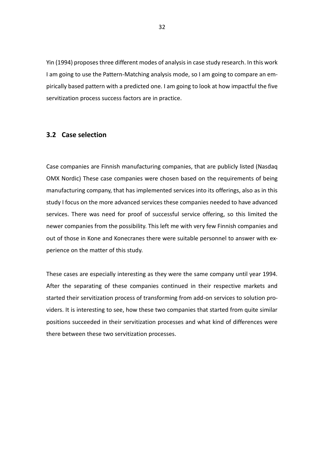Yin (1994) proposes three different modes of analysis in case study research. In this work I am going to use the Pattern-Matching analysis mode, so I am going to compare an empirically based pattern with a predicted one. I am going to look at how impactful the five servitization process success factors are in practice.

### <span id="page-31-0"></span>**3.2 Case selection**

Case companies are Finnish manufacturing companies, that are publicly listed (Nasdaq OMX Nordic) These case companies were chosen based on the requirements of being manufacturing company, that has implemented services into its offerings, also as in this study I focus on the more advanced services these companies needed to have advanced services. There was need for proof of successful service offering, so this limited the newer companies from the possibility. This left me with very few Finnish companies and out of those in Kone and Konecranes there were suitable personnel to answer with experience on the matter of this study.

These cases are especially interesting as they were the same company until year 1994. After the separating of these companies continued in their respective markets and started their servitization process of transforming from add-on services to solution providers. It is interesting to see, how these two companies that started from quite similar positions succeeded in their servitization processes and what kind of differences were there between these two servitization processes.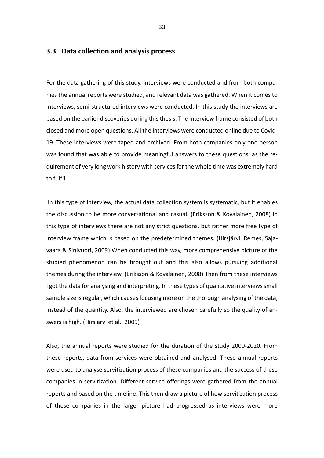#### <span id="page-32-0"></span>**3.3 Data collection and analysis process**

For the data gathering of this study, interviews were conducted and from both companies the annual reports were studied, and relevant data was gathered. When it comes to interviews, semi-structured interviews were conducted. In this study the interviews are based on the earlier discoveries during this thesis. The interview frame consisted of both closed and more open questions. All the interviews were conducted online due to Covid-19. These interviews were taped and archived. From both companies only one person was found that was able to provide meaningful answers to these questions, as the requirement of very long work history with services for the whole time was extremely hard to fulfil.

In this type of interview, the actual data collection system is systematic, but it enables the discussion to be more conversational and casual. (Eriksson & Kovalainen, 2008) In this type of interviews there are not any strict questions, but rather more free type of interview frame which is based on the predetermined themes. (Hirsjärvi, Remes, Sajavaara & Sinivuori, 2009) When conducted this way, more comprehensive picture of the studied phenomenon can be brought out and this also allows pursuing additional themes during the interview. (Eriksson & Kovalainen, 2008) Then from these interviews I got the data for analysing and interpreting. In these types of qualitative interviews small sample size is regular, which causes focusing more on the thorough analysing of the data, instead of the quantity. Also, the interviewed are chosen carefully so the quality of answers is high. (Hirsjärvi et al., 2009)

Also, the annual reports were studied for the duration of the study 2000-2020. From these reports, data from services were obtained and analysed. These annual reports were used to analyse servitization process of these companies and the success of these companies in servitization. Different service offerings were gathered from the annual reports and based on the timeline. This then draw a picture of how servitization process of these companies in the larger picture had progressed as interviews were more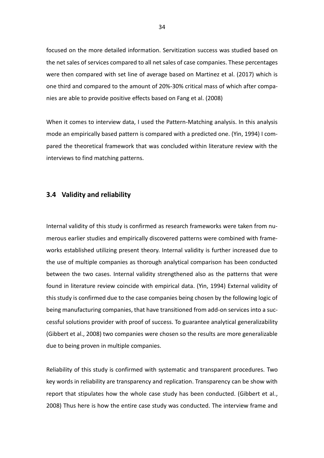focused on the more detailed information. Servitization success was studied based on the net sales of services compared to all net sales of case companies. These percentages were then compared with set line of average based on Martinez et al. (2017) which is one third and compared to the amount of 20%-30% critical mass of which after companies are able to provide positive effects based on Fang et al. (2008)

When it comes to interview data, I used the Pattern-Matching analysis. In this analysis mode an empirically based pattern is compared with a predicted one. (Yin, 1994) I compared the theoretical framework that was concluded within literature review with the interviews to find matching patterns.

#### <span id="page-33-0"></span>**3.4 Validity and reliability**

Internal validity of this study is confirmed as research frameworks were taken from numerous earlier studies and empirically discovered patterns were combined with frameworks established utilizing present theory. Internal validity is further increased due to the use of multiple companies as thorough analytical comparison has been conducted between the two cases. Internal validity strengthened also as the patterns that were found in literature review coincide with empirical data. (Yin, 1994) External validity of this study is confirmed due to the case companies being chosen by the following logic of being manufacturing companies, that have transitioned from add-on services into a successful solutions provider with proof of success. To guarantee analytical generalizability (Gibbert et al., 2008) two companies were chosen so the results are more generalizable due to being proven in multiple companies.

Reliability of this study is confirmed with systematic and transparent procedures. Two key words in reliability are transparency and replication. Transparency can be show with report that stipulates how the whole case study has been conducted. (Gibbert et al., 2008) Thus here is how the entire case study was conducted. The interview frame and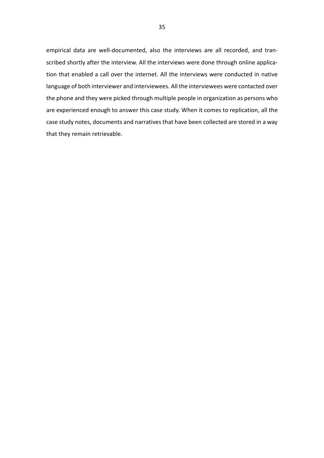empirical data are well-documented, also the interviews are all recorded, and transcribed shortly after the interview. All the interviews were done through online application that enabled a call over the internet. All the interviews were conducted in native language of both interviewer and interviewees. All the interviewees were contacted over the phone and they were picked through multiple people in organization as persons who are experienced enough to answer this case study. When it comes to replication, all the case study notes, documents and narratives that have been collected are stored in a way that they remain retrievable.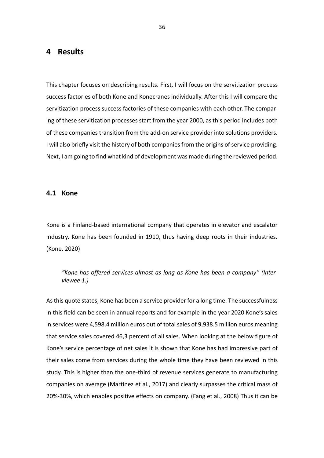# <span id="page-35-0"></span>**4 Results**

This chapter focuses on describing results. First, I will focus on the servitization process success factories of both Kone and Konecranes individually. After this I will compare the servitization process success factories of these companies with each other. The comparing of these servitization processes start from the year 2000, as this period includes both of these companies transition from the add-on service provider into solutions providers. I will also briefly visit the history of both companies from the origins of service providing. Next, I am going to find what kind of development was made during the reviewed period.

#### <span id="page-35-1"></span>**4.1 Kone**

Kone is a Finland-based international company that operates in elevator and escalator industry. Kone has been founded in 1910, thus having deep roots in their industries. (Kone, 2020)

*"Kone has offered services almost as long as Kone has been a company" (Interviewee 1.)*

As this quote states, Kone has been a service provider for a long time. The successfulness in this field can be seen in annual reports and for example in the year 2020 Kone's sales in services were 4,598.4 million euros out of total sales of 9,938.5 million euros meaning that service sales covered 46,3 percent of all sales. When looking at the below figure of Kone's service percentage of net sales it is shown that Kone has had impressive part of their sales come from services during the whole time they have been reviewed in this study. This is higher than the one-third of revenue services generate to manufacturing companies on average (Martinez et al., 2017) and clearly surpasses the critical mass of 20%-30%, which enables positive effects on company. (Fang et al., 2008) Thus it can be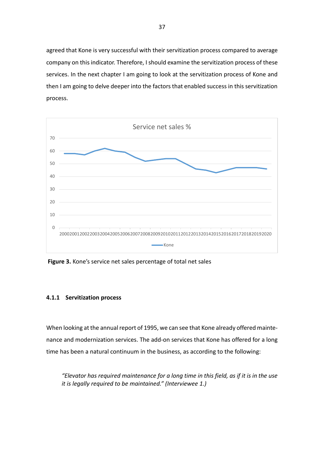agreed that Kone is very successful with their servitization process compared to average company on this indicator. Therefore, I should examine the servitization process of these services. In the next chapter I am going to look at the servitization process of Kone and then I am going to delve deeper into the factors that enabled success in this servitization process.



**Figure 3.** Kone's service net sales percentage of total net sales

### <span id="page-36-0"></span>**4.1.1 Servitization process**

When looking at the annual report of 1995, we can see that Kone already offered maintenance and modernization services. The add-on services that Kone has offered for a long time has been a natural continuum in the business, as according to the following:

*"Elevator has required maintenance for a long time in this field, as if it is in the use it is legally required to be maintained." (Interviewee 1.)*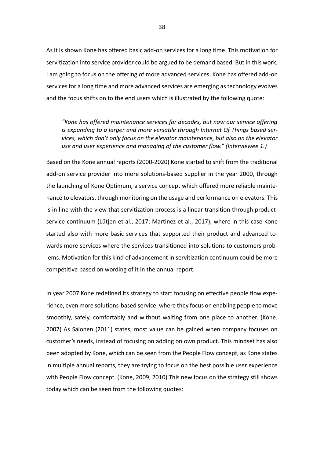As it is shown Kone has offered basic add-on services for a long time. This motivation for servitization into service provider could be argued to be demand based. But in this work, I am going to focus on the offering of more advanced services. Kone has offered add-on services for a long time and more advanced services are emerging as technology evolves and the focus shifts on to the end users which is illustrated by the following quote:

*"Kone has offered maintenance services for decades, but now our service offering is expanding to a larger and more versatile through Internet Of Things based services, which don't only focus on the elevator maintenance, but also on the elevator use and user experience and managing of the customer flow." (Interviewee 1.)*

Based on the Kone annual reports (2000-2020) Kone started to shift from the traditional add-on service provider into more solutions-based supplier in the year 2000, through the launching of Kone Optimum, a service concept which offered more reliable maintenance to elevators, through monitoring on the usage and performance on elevators. This is in line with the view that servitization process is a linear transition through productservice continuum (Lütjen et al., 2017; Martinez et al., 2017), where in this case Kone started also with more basic services that supported their product and advanced towards more services where the services transitioned into solutions to customers problems. Motivation for this kind of advancement in servitization continuum could be more competitive based on wording of it in the annual report.

In year 2007 Kone redefined its strategy to start focusing on effective people flow experience, even more solutions-based service, where they focus on enabling people to move smoothly, safely, comfortably and without waiting from one place to another. (Kone, 2007) As Salonen (2011) states, most value can be gained when company focuses on customer's needs, instead of focusing on adding on own product. This mindset has also been adopted by Kone, which can be seen from the People Flow concept, as Kone states in multiple annual reports, they are trying to focus on the best possible user experience with People Flow concept. (Kone, 2009, 2010) This new focus on the strategy still shows today which can be seen from the following quotes: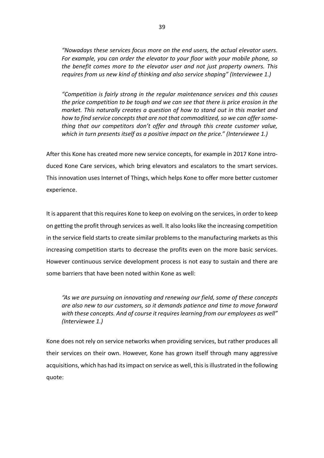*"Nowadays these services focus more on the end users, the actual elevator users. For example, you can order the elevator to your floor with your mobile phone, so the benefit comes more to the elevator user and not just property owners. This requires from us new kind of thinking and also service shaping" (Interviewee 1.)*

*"Competition is fairly strong in the regular maintenance services and this causes the price competition to be tough and we can see that there is price erosion in the market. This naturally creates a question of how to stand out in this market and how to find service concepts that are not that commoditized, so we can offer something that our competitors don't offer and through this create customer value, which in turn presents itself as a positive impact on the price." (Interviewee 1.)*

After this Kone has created more new service concepts, for example in 2017 Kone introduced Kone Care services, which bring elevators and escalators to the smart services. This innovation uses Internet of Things, which helps Kone to offer more better customer experience.

It is apparent that this requires Kone to keep on evolving on the services, in order to keep on getting the profit through services as well. It also looks like the increasing competition in the service field starts to create similar problems to the manufacturing markets as this increasing competition starts to decrease the profits even on the more basic services. However continuous service development process is not easy to sustain and there are some barriers that have been noted within Kone as well:

*"As we are pursuing on innovating and renewing our field, some of these concepts are also new to our customers, so it demands patience and time to move forward with these concepts. And of course it requires learning from our employees as well" (Interviewee 1.)*

Kone does not rely on service networks when providing services, but rather produces all their services on their own. However, Kone has grown itself through many aggressive acquisitions, which has had its impact on service as well, this is illustrated in the following quote: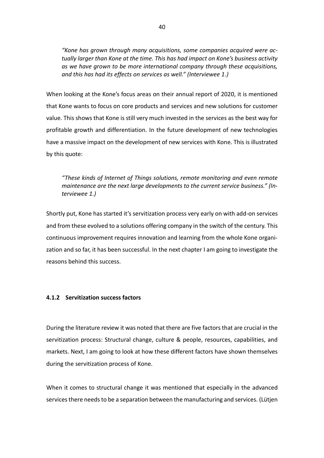*"Kone has grown through many acquisitions, some companies acquired were actually larger than Kone at the time. This has had impact on Kone's business activity as we have grown to be more international company through these acquisitions, and this has had its effects on services as well." (Interviewee 1.)*

When looking at the Kone's focus areas on their annual report of 2020, it is mentioned that Kone wants to focus on core products and services and new solutions for customer value. This shows that Kone is still very much invested in the services as the best way for profitable growth and differentiation. In the future development of new technologies have a massive impact on the development of new services with Kone. This is illustrated by this quote:

# *"These kinds of Internet of Things solutions, remote monitoring and even remote maintenance are the next large developments to the current service business." (Interviewee 1.)*

Shortly put, Kone has started it's servitization process very early on with add-on services and from these evolved to a solutions offering company in the switch of the century. This continuous improvement requires innovation and learning from the whole Kone organization and so far, it has been successful. In the next chapter I am going to investigate the reasons behind this success.

### <span id="page-39-0"></span>**4.1.2 Servitization success factors**

During the literature review it was noted that there are five factors that are crucial in the servitization process: Structural change, culture & people, resources, capabilities, and markets. Next, I am going to look at how these different factors have shown themselves during the servitization process of Kone.

When it comes to structural change it was mentioned that especially in the advanced services there needs to be a separation between the manufacturing and services. (Lütjen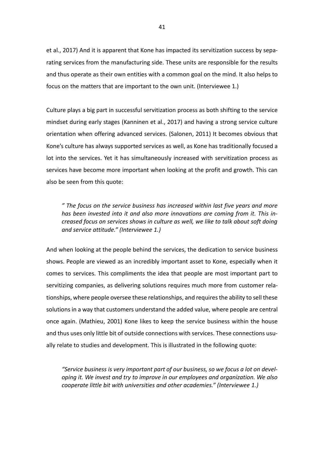et al., 2017) And it is apparent that Kone has impacted its servitization success by separating services from the manufacturing side. These units are responsible for the results and thus operate as their own entities with a common goal on the mind. It also helps to focus on the matters that are important to the own unit. (Interviewee 1.)

Culture plays a big part in successful servitization process as both shifting to the service mindset during early stages (Kanninen et al., 2017) and having a strong service culture orientation when offering advanced services. (Salonen, 2011) It becomes obvious that Kone's culture has always supported services as well, as Kone has traditionally focused a lot into the services. Yet it has simultaneously increased with servitization process as services have become more important when looking at the profit and growth. This can also be seen from this quote:

*" The focus on the service business has increased within last five years and more has been invested into it and also more innovations are coming from it. This increased focus on services shows in culture as well, we like to talk about soft doing and service attitude." (Interviewee 1.)* 

And when looking at the people behind the services, the dedication to service business shows. People are viewed as an incredibly important asset to Kone, especially when it comes to services. This compliments the idea that people are most important part to servitizing companies, as delivering solutions requires much more from customer relationships, where people oversee these relationships, and requires the ability to sell these solutions in a way that customers understand the added value, where people are central once again. (Mathieu, 2001) Kone likes to keep the service business within the house and thus uses only little bit of outside connections with services. These connections usually relate to studies and development. This is illustrated in the following quote:

*"Service business is very important part of our business, so we focus a lot on developing it. We invest and try to improve in our employees and organization. We also cooperate little bit with universities and other academies." (Interviewee 1.)*

41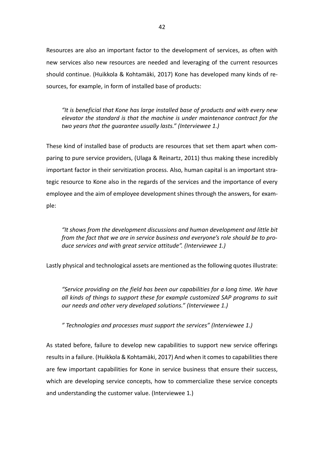Resources are also an important factor to the development of services, as often with new services also new resources are needed and leveraging of the current resources should continue. (Huikkola & Kohtamäki, 2017) Kone has developed many kinds of resources, for example, in form of installed base of products:

*"It is beneficial that Kone has large installed base of products and with every new elevator the standard is that the machine is under maintenance contract for the two years that the guarantee usually lasts." (Interviewee 1.)*

These kind of installed base of products are resources that set them apart when comparing to pure service providers, (Ulaga & Reinartz, 2011) thus making these incredibly important factor in their servitization process. Also, human capital is an important strategic resource to Kone also in the regards of the services and the importance of every employee and the aim of employee development shines through the answers, for example:

*"It shows from the development discussions and human development and little bit from the fact that we are in service business and everyone's role should be to produce services and with great service attitude". (Interviewee 1.)*

Lastly physical and technological assets are mentioned as the following quotes illustrate:

*"Service providing on the field has been our capabilities for a long time. We have all kinds of things to support these for example customized SAP programs to suit our needs and other very developed solutions." (Interviewee 1.)*

*" Technologies and processes must support the services" (Interviewee 1.)*

As stated before, failure to develop new capabilities to support new service offerings results in a failure. (Huikkola & Kohtamäki, 2017) And when it comes to capabilities there are few important capabilities for Kone in service business that ensure their success, which are developing service concepts, how to commercialize these service concepts and understanding the customer value. (Interviewee 1.)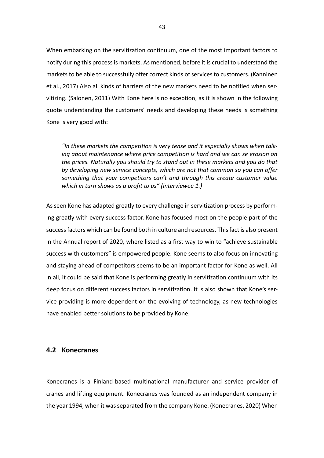When embarking on the servitization continuum, one of the most important factors to notify during this process is markets. As mentioned, before it is crucial to understand the markets to be able to successfully offer correct kinds of services to customers. (Kanninen et al., 2017) Also all kinds of barriers of the new markets need to be notified when servitizing. (Salonen, 2011) With Kone here is no exception, as it is shown in the following quote understanding the customers' needs and developing these needs is something Kone is very good with:

*"In these markets the competition is very tense and it especially shows when talking about maintenance where price competition is hard and we can se erosion on the prices. Naturally you should try to stand out in these markets and you do that by developing new service concepts, which are not that common so you can offer something that your competitors can't and through this create customer value which in turn shows as a profit to us" (Interviewee 1.)*

As seen Kone has adapted greatly to every challenge in servitization process by performing greatly with every success factor. Kone has focused most on the people part of the success factors which can be found both in culture and resources. This fact is also present in the Annual report of 2020, where listed as a first way to win to "achieve sustainable success with customers" is empowered people. Kone seems to also focus on innovating and staying ahead of competitors seems to be an important factor for Kone as well. All in all, it could be said that Kone is performing greatly in servitization continuum with its deep focus on different success factors in servitization. It is also shown that Kone's service providing is more dependent on the evolving of technology, as new technologies have enabled better solutions to be provided by Kone.

#### <span id="page-42-0"></span>**4.2 Konecranes**

Konecranes is a Finland-based multinational manufacturer and service provider of cranes and lifting equipment. Konecranes was founded as an independent company in the year 1994, when it was separated from the company Kone. (Konecranes, 2020) When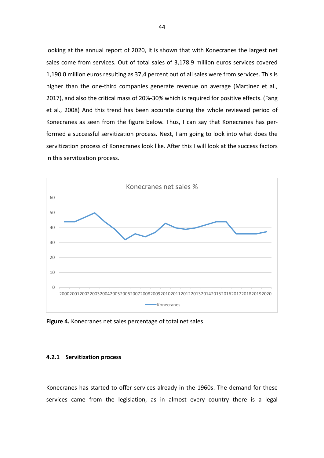looking at the annual report of 2020, it is shown that with Konecranes the largest net sales come from services. Out of total sales of 3,178.9 million euros services covered 1,190.0 million euros resulting as 37,4 percent out of all sales were from services. This is higher than the one-third companies generate revenue on average (Martinez et al., 2017), and also the critical mass of 20%-30% which is required for positive effects. (Fang et al., 2008) And this trend has been accurate during the whole reviewed period of Konecranes as seen from the figure below. Thus, I can say that Konecranes has performed a successful servitization process. Next, I am going to look into what does the servitization process of Konecranes look like. After this I will look at the success factors in this servitization process.



**Figure 4.** Konecranes net sales percentage of total net sales

#### <span id="page-43-0"></span>**4.2.1 Servitization process**

Konecranes has started to offer services already in the 1960s. The demand for these services came from the legislation, as in almost every country there is a legal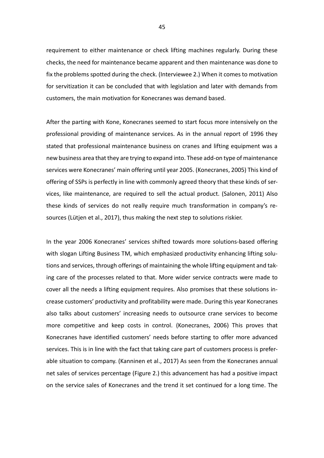requirement to either maintenance or check lifting machines regularly. During these checks, the need for maintenance became apparent and then maintenance was done to fix the problems spotted during the check. (Interviewee 2.) When it comes to motivation for servitization it can be concluded that with legislation and later with demands from customers, the main motivation for Konecranes was demand based.

After the parting with Kone, Konecranes seemed to start focus more intensively on the professional providing of maintenance services. As in the annual report of 1996 they stated that professional maintenance business on cranes and lifting equipment was a new business area that they are trying to expand into. These add-on type of maintenance services were Konecranes' main offering until year 2005. (Konecranes, 2005) This kind of offering of SSPs is perfectly in line with commonly agreed theory that these kinds of services, like maintenance, are required to sell the actual product. (Salonen, 2011) Also these kinds of services do not really require much transformation in company's resources (Lütjen et al., 2017), thus making the next step to solutions riskier.

In the year 2006 Konecranes' services shifted towards more solutions-based offering with slogan Lifting Business TM, which emphasized productivity enhancing lifting solutions and services, through offerings of maintaining the whole lifting equipment and taking care of the processes related to that. More wider service contracts were made to cover all the needs a lifting equipment requires. Also promises that these solutions increase customers' productivity and profitability were made. During this year Konecranes also talks about customers' increasing needs to outsource crane services to become more competitive and keep costs in control. (Konecranes, 2006) This proves that Konecranes have identified customers' needs before starting to offer more advanced services. This is in line with the fact that taking care part of customers process is preferable situation to company. (Kanninen et al., 2017) As seen from the Konecranes annual net sales of services percentage (Figure 2.) this advancement has had a positive impact on the service sales of Konecranes and the trend it set continued for a long time. The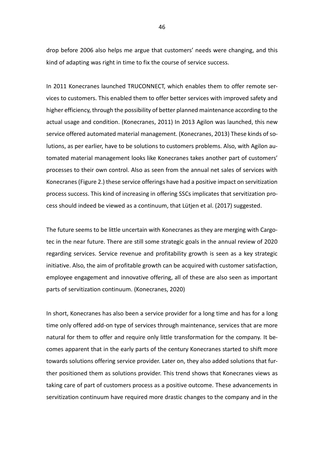drop before 2006 also helps me argue that customers' needs were changing, and this kind of adapting was right in time to fix the course of service success.

In 2011 Konecranes launched TRUCONNECT, which enables them to offer remote services to customers. This enabled them to offer better services with improved safety and higher efficiency, through the possibility of better planned maintenance according to the actual usage and condition. (Konecranes, 2011) In 2013 Agilon was launched, this new service offered automated material management. (Konecranes, 2013) These kinds of solutions, as per earlier, have to be solutions to customers problems. Also, with Agilon automated material management looks like Konecranes takes another part of customers' processes to their own control. Also as seen from the annual net sales of services with Konecranes (Figure 2.) these service offerings have had a positive impact on servitization process success. This kind of increasing in offering SSCs implicates that servitization process should indeed be viewed as a continuum, that Lütjen et al. (2017) suggested.

The future seems to be little uncertain with Konecranes as they are merging with Cargotec in the near future. There are still some strategic goals in the annual review of 2020 regarding services. Service revenue and profitability growth is seen as a key strategic initiative. Also, the aim of profitable growth can be acquired with customer satisfaction, employee engagement and innovative offering, all of these are also seen as important parts of servitization continuum. (Konecranes, 2020)

In short, Konecranes has also been a service provider for a long time and has for a long time only offered add-on type of services through maintenance, services that are more natural for them to offer and require only little transformation for the company. It becomes apparent that in the early parts of the century Konecranes started to shift more towards solutions offering service provider. Later on, they also added solutions that further positioned them as solutions provider. This trend shows that Konecranes views as taking care of part of customers process as a positive outcome. These advancements in servitization continuum have required more drastic changes to the company and in the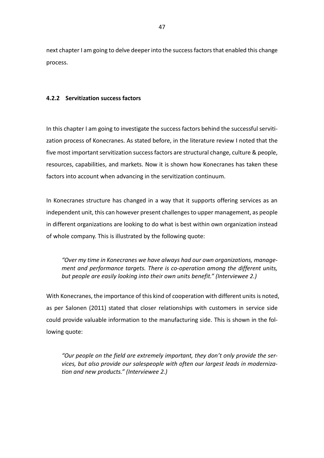next chapter I am going to delve deeper into the success factors that enabled this change process.

## <span id="page-46-0"></span>**4.2.2 Servitization success factors**

In this chapter I am going to investigate the success factors behind the successful servitization process of Konecranes. As stated before, in the literature review I noted that the five most important servitization success factors are structural change, culture & people, resources, capabilities, and markets. Now it is shown how Konecranes has taken these factors into account when advancing in the servitization continuum.

In Konecranes structure has changed in a way that it supports offering services as an independent unit, this can however present challenges to upper management, as people in different organizations are looking to do what is best within own organization instead of whole company. This is illustrated by the following quote:

*"Over my time in Konecranes we have always had our own organizations, management and performance targets. There is co-operation among the different units, but people are easily looking into their own units benefit." (Interviewee 2.)*

With Konecranes, the importance of this kind of cooperation with different units is noted, as per Salonen (2011) stated that closer relationships with customers in service side could provide valuable information to the manufacturing side. This is shown in the following quote:

*"Our people on the field are extremely important, they don't only provide the services, but also provide our salespeople with often our largest leads in modernization and new products." (Interviewee 2.)*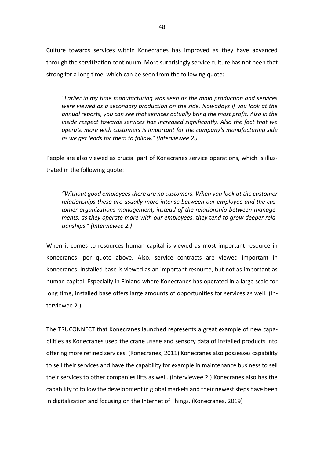Culture towards services within Konecranes has improved as they have advanced through the servitization continuum. More surprisingly service culture has not been that strong for a long time, which can be seen from the following quote:

*"Earlier in my time manufacturing was seen as the main production and services were viewed as a secondary production on the side. Nowadays if you look at the annual reports, you can see that services actually bring the most profit. Also in the inside respect towards services has increased significantly. Also the fact that we operate more with customers is important for the company's manufacturing side as we get leads for them to follow." (Interviewee 2.)*

People are also viewed as crucial part of Konecranes service operations, which is illustrated in the following quote:

*"Without good employees there are no customers. When you look at the customer relationships these are usually more intense between our employee and the customer organizations management, instead of the relationship between managements, as they operate more with our employees, they tend to grow deeper relationships." (Interviewee 2.)*

When it comes to resources human capital is viewed as most important resource in Konecranes, per quote above. Also, service contracts are viewed important in Konecranes. Installed base is viewed as an important resource, but not as important as human capital. Especially in Finland where Konecranes has operated in a large scale for long time, installed base offers large amounts of opportunities for services as well. (Interviewee 2.)

The TRUCONNECT that Konecranes launched represents a great example of new capabilities as Konecranes used the crane usage and sensory data of installed products into offering more refined services. (Konecranes, 2011) Konecranes also possesses capability to sell their services and have the capability for example in maintenance business to sell their services to other companies lifts as well. (Interviewee 2.) Konecranes also has the capability to follow the development in global markets and their newest steps have been in digitalization and focusing on the Internet of Things. (Konecranes, 2019)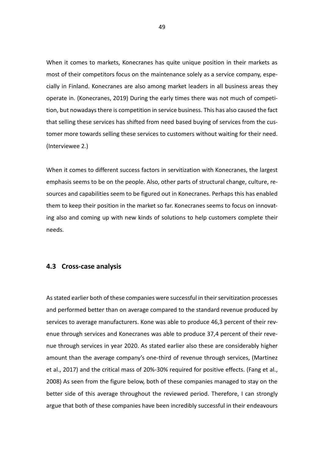When it comes to markets, Konecranes has quite unique position in their markets as most of their competitors focus on the maintenance solely as a service company, especially in Finland. Konecranes are also among market leaders in all business areas they operate in. (Konecranes, 2019) During the early times there was not much of competition, but nowadays there is competition in service business. This has also caused the fact that selling these services has shifted from need based buying of services from the customer more towards selling these services to customers without waiting for their need. (Interviewee 2.)

When it comes to different success factors in servitization with Konecranes, the largest emphasis seems to be on the people. Also, other parts of structural change, culture, resources and capabilities seem to be figured out in Konecranes. Perhaps this has enabled them to keep their position in the market so far. Konecranes seems to focus on innovating also and coming up with new kinds of solutions to help customers complete their needs.

## <span id="page-48-0"></span>**4.3 Cross-case analysis**

As stated earlier both of these companies were successful in their servitization processes and performed better than on average compared to the standard revenue produced by services to average manufacturers. Kone was able to produce 46,3 percent of their revenue through services and Konecranes was able to produce 37,4 percent of their revenue through services in year 2020. As stated earlier also these are considerably higher amount than the average company's one-third of revenue through services, (Martinez et al., 2017) and the critical mass of 20%-30% required for positive effects. (Fang et al., 2008) As seen from the figure below, both of these companies managed to stay on the better side of this average throughout the reviewed period. Therefore, I can strongly argue that both of these companies have been incredibly successful in their endeavours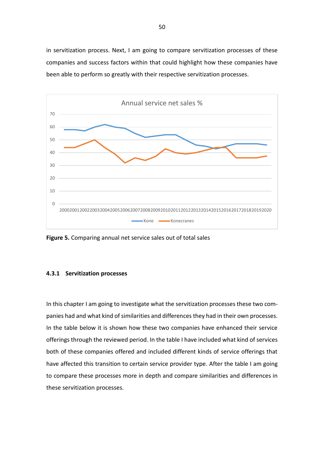in servitization process. Next, I am going to compare servitization processes of these companies and success factors within that could highlight how these companies have been able to perform so greatly with their respective servitization processes.



**Figure 5.** Comparing annual net service sales out of total sales

#### <span id="page-49-0"></span>**4.3.1 Servitization processes**

In this chapter I am going to investigate what the servitization processes these two companies had and what kind of similarities and differences they had in their own processes. In the table below it is shown how these two companies have enhanced their service offerings through the reviewed period. In the table I have included what kind of services both of these companies offered and included different kinds of service offerings that have affected this transition to certain service provider type. After the table I am going to compare these processes more in depth and compare similarities and differences in these servitization processes.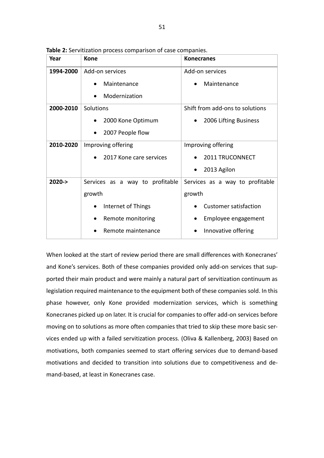| Year       | <b>Kone</b>                     | <b>Konecranes</b>               |  |
|------------|---------------------------------|---------------------------------|--|
| 1994-2000  | Add-on services                 | Add-on services                 |  |
|            | Maintenance                     | Maintenance                     |  |
|            | Modernization                   |                                 |  |
| 2000-2010  | Solutions                       | Shift from add-ons to solutions |  |
|            | 2000 Kone Optimum               | 2006 Lifting Business           |  |
|            | 2007 People flow                |                                 |  |
| 2010-2020  | Improving offering              | Improving offering              |  |
|            | 2017 Kone care services         | 2011 TRUCONNECT                 |  |
|            |                                 | 2013 Agilon                     |  |
| $2020 - >$ | Services as a way to profitable | Services as a way to profitable |  |
|            | growth                          | growth                          |  |
|            | Internet of Things<br>$\bullet$ | <b>Customer satisfaction</b>    |  |
|            | Remote monitoring               | Employee engagement             |  |
|            | Remote maintenance              | Innovative offering             |  |

**Table 2:** Servitization process comparison of case companies.

When looked at the start of review period there are small differences with Konecranes' and Kone's services. Both of these companies provided only add-on services that supported their main product and were mainly a natural part of servitization continuum as legislation required maintenance to the equipment both of these companies sold. In this phase however, only Kone provided modernization services, which is something Konecranes picked up on later. It is crucial for companies to offer add-on services before moving on to solutions as more often companies that tried to skip these more basic services ended up with a failed servitization process. (Oliva & Kallenberg, 2003) Based on motivations, both companies seemed to start offering services due to demand-based motivations and decided to transition into solutions due to competitiveness and demand-based, at least in Konecranes case.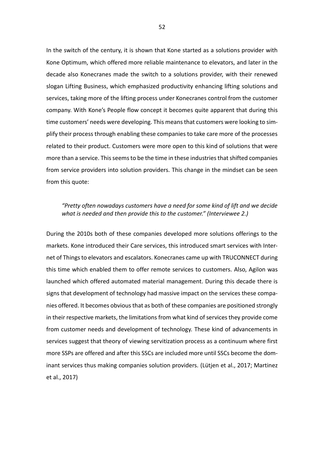In the switch of the century, it is shown that Kone started as a solutions provider with Kone Optimum, which offered more reliable maintenance to elevators, and later in the decade also Konecranes made the switch to a solutions provider, with their renewed slogan Lifting Business, which emphasized productivity enhancing lifting solutions and services, taking more of the lifting process under Konecranes control from the customer company. With Kone's People flow concept it becomes quite apparent that during this time customers' needs were developing. This means that customers were looking to simplify their process through enabling these companies to take care more of the processes related to their product. Customers were more open to this kind of solutions that were more than a service. This seems to be the time in these industries that shifted companies from service providers into solution providers. This change in the mindset can be seen from this quote:

### *"Pretty often nowadays customers have a need for some kind of lift and we decide what is needed and then provide this to the customer." (Interviewee 2.)*

During the 2010s both of these companies developed more solutions offerings to the markets. Kone introduced their Care services, this introduced smart services with Internet of Things to elevators and escalators. Konecranes came up with TRUCONNECT during this time which enabled them to offer remote services to customers. Also, Agilon was launched which offered automated material management. During this decade there is signs that development of technology had massive impact on the services these companies offered. It becomes obvious that as both of these companies are positioned strongly in their respective markets, the limitations from what kind of services they provide come from customer needs and development of technology. These kind of advancements in services suggest that theory of viewing servitization process as a continuum where first more SSPs are offered and after this SSCs are included more until SSCs become the dominant services thus making companies solution providers. (Lütjen et al., 2017; Martinez et al., 2017)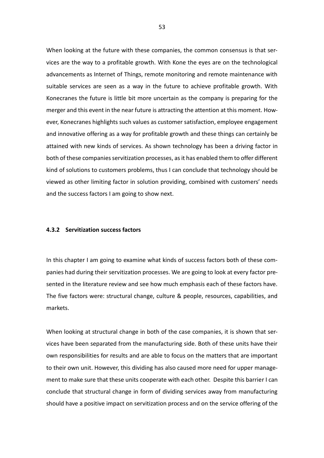When looking at the future with these companies, the common consensus is that services are the way to a profitable growth. With Kone the eyes are on the technological advancements as Internet of Things, remote monitoring and remote maintenance with suitable services are seen as a way in the future to achieve profitable growth. With Konecranes the future is little bit more uncertain as the company is preparing for the merger and this event in the near future is attracting the attention at this moment. However, Konecranes highlights such values as customer satisfaction, employee engagement and innovative offering as a way for profitable growth and these things can certainly be attained with new kinds of services. As shown technology has been a driving factor in both of these companies servitization processes, as it has enabled them to offer different kind of solutions to customers problems, thus I can conclude that technology should be viewed as other limiting factor in solution providing, combined with customers' needs and the success factors I am going to show next.

#### <span id="page-52-0"></span>**4.3.2 Servitization success factors**

In this chapter I am going to examine what kinds of success factors both of these companies had during their servitization processes. We are going to look at every factor presented in the literature review and see how much emphasis each of these factors have. The five factors were: structural change, culture & people, resources, capabilities, and markets.

When looking at structural change in both of the case companies, it is shown that services have been separated from the manufacturing side. Both of these units have their own responsibilities for results and are able to focus on the matters that are important to their own unit. However, this dividing has also caused more need for upper management to make sure that these units cooperate with each other. Despite this barrier I can conclude that structural change in form of dividing services away from manufacturing should have a positive impact on servitization process and on the service offering of the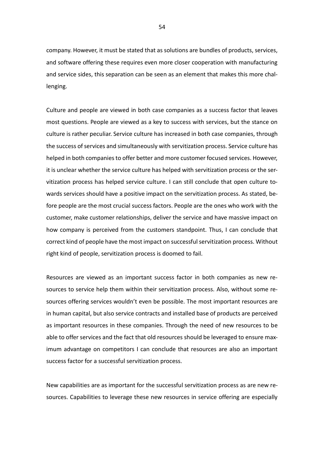company. However, it must be stated that as solutions are bundles of products, services, and software offering these requires even more closer cooperation with manufacturing and service sides, this separation can be seen as an element that makes this more challenging.

Culture and people are viewed in both case companies as a success factor that leaves most questions. People are viewed as a key to success with services, but the stance on culture is rather peculiar. Service culture has increased in both case companies, through the success of services and simultaneously with servitization process. Service culture has helped in both companies to offer better and more customer focused services. However, it is unclear whether the service culture has helped with servitization process or the servitization process has helped service culture. I can still conclude that open culture towards services should have a positive impact on the servitization process. As stated, before people are the most crucial success factors. People are the ones who work with the customer, make customer relationships, deliver the service and have massive impact on how company is perceived from the customers standpoint. Thus, I can conclude that correct kind of people have the most impact on successful servitization process. Without right kind of people, servitization process is doomed to fail.

Resources are viewed as an important success factor in both companies as new resources to service help them within their servitization process. Also, without some resources offering services wouldn't even be possible. The most important resources are in human capital, but also service contracts and installed base of products are perceived as important resources in these companies. Through the need of new resources to be able to offer services and the fact that old resources should be leveraged to ensure maximum advantage on competitors I can conclude that resources are also an important success factor for a successful servitization process.

New capabilities are as important for the successful servitization process as are new resources. Capabilities to leverage these new resources in service offering are especially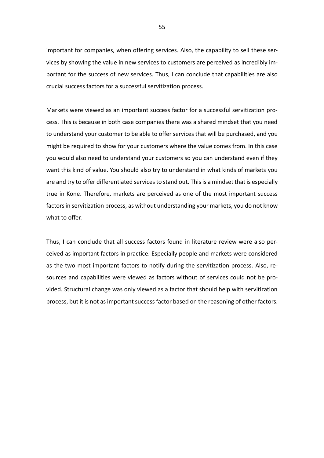important for companies, when offering services. Also, the capability to sell these services by showing the value in new services to customers are perceived as incredibly important for the success of new services. Thus, I can conclude that capabilities are also crucial success factors for a successful servitization process.

Markets were viewed as an important success factor for a successful servitization process. This is because in both case companies there was a shared mindset that you need to understand your customer to be able to offer services that will be purchased, and you might be required to show for your customers where the value comes from. In this case you would also need to understand your customers so you can understand even if they want this kind of value. You should also try to understand in what kinds of markets you are and try to offer differentiated services to stand out. This is a mindset that is especially true in Kone. Therefore, markets are perceived as one of the most important success factors in servitization process, as without understanding your markets, you do not know what to offer.

Thus, I can conclude that all success factors found in literature review were also perceived as important factors in practice. Especially people and markets were considered as the two most important factors to notify during the servitization process. Also, resources and capabilities were viewed as factors without of services could not be provided. Structural change was only viewed as a factor that should help with servitization process, but it is not as important success factor based on the reasoning of other factors.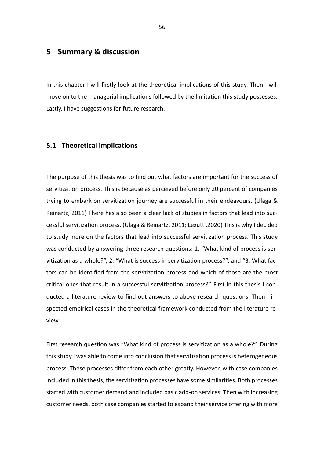# <span id="page-55-0"></span>**5 Summary & discussion**

In this chapter I will firstly look at the theoretical implications of this study. Then I will move on to the managerial implications followed by the limitation this study possesses. Lastly, I have suggestions for future research.

#### <span id="page-55-1"></span>**5.1 Theoretical implications**

The purpose of this thesis was to find out what factors are important for the success of servitization process. This is because as perceived before only 20 percent of companies trying to embark on servitization journey are successful in their endeavours. (Ulaga & Reinartz, 2011) There has also been a clear lack of studies in factors that lead into successful servitization process. (Ulaga & Reinartz, 2011; Lexutt ,2020) This is why I decided to study more on the factors that lead into successful servitization process. This study was conducted by answering three research questions: 1. "What kind of process is servitization as a whole?", 2. "What is success in servitization process?", and "3. What factors can be identified from the servitization process and which of those are the most critical ones that result in a successful servitization process?" First in this thesis I conducted a literature review to find out answers to above research questions. Then I inspected empirical cases in the theoretical framework conducted from the literature review.

First research question was "What kind of process is servitization as a whole?". During this study I was able to come into conclusion that servitization process is heterogeneous process. These processes differ from each other greatly. However, with case companies included in this thesis, the servitization processes have some similarities. Both processes started with customer demand and included basic add-on services. Then with increasing customer needs, both case companies started to expand their service offering with more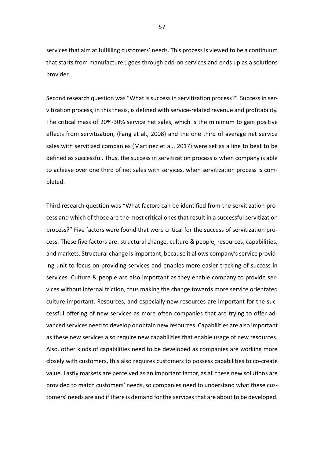services that aim at fulfilling customers' needs. This process is viewed to be a continuum that starts from manufacturer, goes through add-on services and ends up as a solutions provider.

Second research question was "What is success in servitization process?". Success in servitization process, in this thesis, is defined with service-related revenue and profitability. The critical mass of 20%-30% service net sales, which is the minimum to gain positive effects from servitization, (Fang et al., 2008) and the one third of average net service sales with servitized companies (Martinez et al., 2017) were set as a line to beat to be defined as successful. Thus, the success in servitization process is when company is able to achieve over one third of net sales with services, when servitization process is completed.

Third research question was "What factors can be identified from the servitization process and which of those are the most critical ones that result in a successful servitization process?" Five factors were found that were critical for the success of servitization process. These five factors are: structural change, culture & people, resources, capabilities, and markets. Structural change is important, because it allows company's service providing unit to focus on providing services and enables more easier tracking of success in services. Culture & people are also important as they enable company to provide services without internal friction, thus making the change towards more service orientated culture important. Resources, and especially new resources are important for the successful offering of new services as more often companies that are trying to offer advanced services need to develop or obtain new resources. Capabilities are also important as these new services also require new capabilities that enable usage of new resources. Also, other kinds of capabilities need to be developed as companies are working more closely with customers, this also requires customers to possess capabilities to co-create value. Lastly markets are perceived as an important factor, as all these new solutions are provided to match customers' needs, so companies need to understand what these customers' needs are and if there is demand for the services that are about to be developed.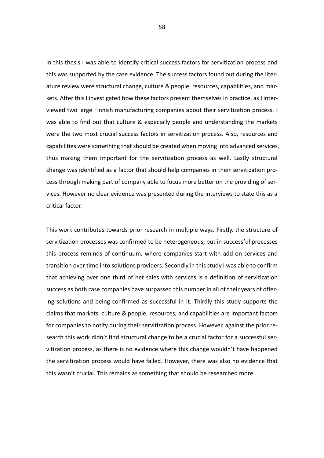In this thesis I was able to identify critical success factors for servitization process and this was supported by the case evidence. The success factors found out during the literature review were structural change, culture & people, resources, capabilities, and markets. After this I investigated how these factors present themselves in practice, as I interviewed two large Finnish manufacturing companies about their servitization process. I was able to find out that culture & especially people and understanding the markets were the two most crucial success factors in servitization process. Also, resources and capabilities were something that should be created when moving into advanced services, thus making them important for the servitization process as well. Lastly structural change was identified as a factor that should help companies in their servitization process through making part of company able to focus more better on the providing of services. However no clear evidence was presented during the interviews to state this as a critical factor.

This work contributes towards prior research in multiple ways. Firstly, the structure of servitization processes was confirmed to be heterogeneous, but in successful processes this process reminds of continuum, where companies start with add-on services and transition over time into solutions providers. Secondly in this study I was able to confirm that achieving over one third of net sales with services is a definition of servitization success as both case companies have surpassed this number in all of their years of offering solutions and being confirmed as successful in it. Thirdly this study supports the claims that markets, culture & people, resources, and capabilities are important factors for companies to notify during their servitization process. However, against the prior research this work didn't find structural change to be a crucial factor for a successful servitization process, as there is no evidence where this change wouldn't have happened the servitization process would have failed. However, there was also no evidence that this wasn't crucial. This remains as something that should be researched more.

58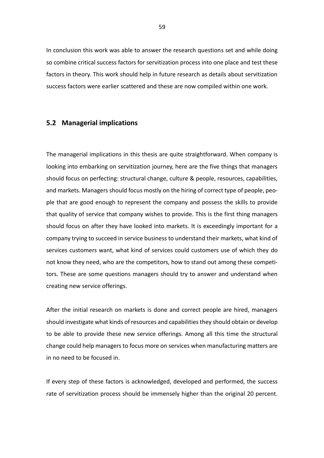In conclusion this work was able to answer the research questions set and while doing so combine critical success factors for servitization process into one place and test these factors in theory. This work should help in future research as details about servitization success factors were earlier scattered and these are now compiled within one work.

#### <span id="page-58-0"></span>**5.2 Managerial implications**

The managerial implications in this thesis are quite straightforward. When company is looking into embarking on servitization journey, here are the five things that managers should focus on perfecting: structural change, culture & people, resources, capabilities, and markets. Managers should focus mostly on the hiring of correct type of people, people that are good enough to represent the company and possess the skills to provide that quality of service that company wishes to provide. This is the first thing managers should focus on after they have looked into markets. It is exceedingly important for a company trying to succeed in service business to understand their markets, what kind of services customers want, what kind of services could customers use of which they do not know they need, who are the competitors, how to stand out among these competitors. These are some questions managers should try to answer and understand when creating new service offerings.

After the initial research on markets is done and correct people are hired, managers should investigate what kinds of resources and capabilities they should obtain or develop to be able to provide these new service offerings. Among all this time the structural change could help managers to focus more on services when manufacturing matters are in no need to be focused in.

If every step of these factors is acknowledged, developed and performed, the success rate of servitization process should be immensely higher than the original 20 percent.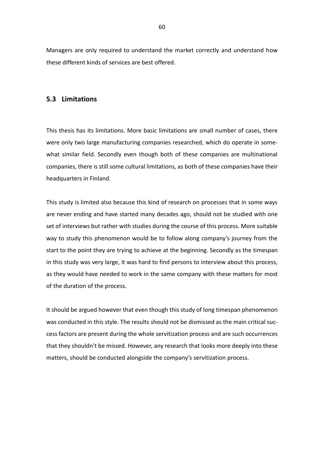Managers are only required to understand the market correctly and understand how these different kinds of services are best offered.

## <span id="page-59-0"></span>**5.3 Limitations**

This thesis has its limitations. More basic limitations are small number of cases, there were only two large manufacturing companies researched, which do operate in somewhat similar field. Secondly even though both of these companies are multinational companies, there is still some cultural limitations, as both of these companies have their headquarters in Finland.

This study is limited also because this kind of research on processes that in some ways are never ending and have started many decades ago, should not be studied with one set of interviews but rather with studies during the course of this process. More suitable way to study this phenomenon would be to follow along company's journey from the start to the point they are trying to achieve at the beginning. Secondly as the timespan in this study was very large, it was hard to find persons to interview about this process, as they would have needed to work in the same company with these matters for most of the duration of the process.

It should be argued however that even though this study of long timespan phenomenon was conducted in this style. The results should not be dismissed as the main critical success factors are present during the whole servitization process and are such occurrences that they shouldn't be missed. However, any research that looks more deeply into these matters, should be conducted alongside the company's servitization process.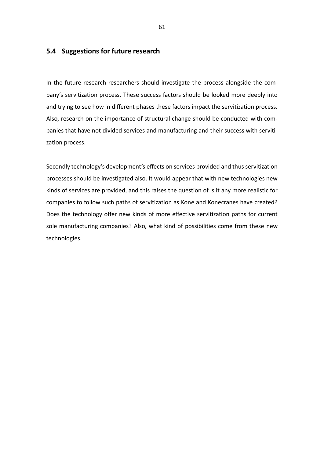## <span id="page-60-0"></span>**5.4 Suggestions for future research**

In the future research researchers should investigate the process alongside the company's servitization process. These success factors should be looked more deeply into and trying to see how in different phases these factors impact the servitization process. Also, research on the importance of structural change should be conducted with companies that have not divided services and manufacturing and their success with servitization process.

Secondly technology's development's effects on services provided and thus servitization processes should be investigated also. It would appear that with new technologies new kinds of services are provided, and this raises the question of is it any more realistic for companies to follow such paths of servitization as Kone and Konecranes have created? Does the technology offer new kinds of more effective servitization paths for current sole manufacturing companies? Also, what kind of possibilities come from these new technologies.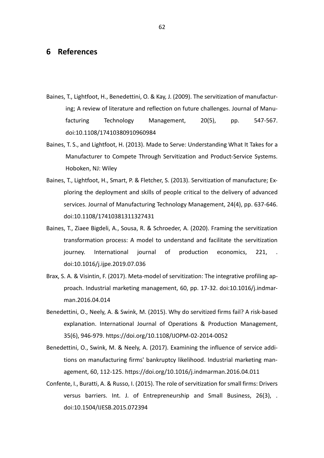# <span id="page-61-0"></span>**6 References**

- Baines, T., Lightfoot, H., Benedettini, O. & Kay, J. (2009). The servitization of manufacturing; A review of literature and reflection on future challenges. Journal of Manufacturing Technology Management, 20(5), pp. 547-567. doi:10.1108/17410380910960984
- Baines, T. S., and Lightfoot, H. (2013). Made to Serve: Understanding What It Takes for a Manufacturer to Compete Through Servitization and Product-Service Systems. Hoboken, NJ: Wiley
- Baines, T., Lightfoot, H., Smart, P. & Fletcher, S. (2013). Servitization of manufacture; Exploring the deployment and skills of people critical to the delivery of advanced services. Journal of Manufacturing Technology Management, 24(4), pp. 637-646. doi:10.1108/17410381311327431
- Baines, T., Ziaee Bigdeli, A., Sousa, R. & Schroeder, A. (2020). Framing the servitization transformation process: A model to understand and facilitate the servitization journey. International journal of production economics, 221, doi:10.1016/j.ijpe.2019.07.036
- Brax, S. A. & Visintin, F. (2017). Meta-model of servitization: The integrative profiling approach. Industrial marketing management, 60, pp. 17-32. doi:10.1016/j.indmarman.2016.04.014
- Benedettini, O., Neely, A. & Swink, M. (2015). Why do servitized firms fail? A risk-based explanation. International Journal of Operations & Production Management, 35(6), 946-979. https://doi.org/10.1108/IJOPM-02-2014-0052
- Benedettini, O., Swink, M. & Neely, A. (2017). Examining the influence of service additions on manufacturing firms' bankruptcy likelihood. Industrial marketing management, 60, 112-125. https://doi.org/10.1016/j.indmarman.2016.04.011
- Confente, I., Buratti, A. & Russo, I. (2015). The role of servitization for small firms: Drivers versus barriers. Int. J. of Entrepreneurship and Small Business, 26(3), . doi:10.1504/IJESB.2015.072394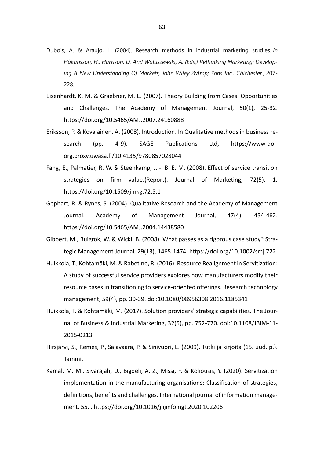- Dubois, A. & Araujo, L. (2004). Research methods in industrial marketing studies. *In Håkansson, H., Harrison, D. And Waluszewski, A. (Eds.) Rethinking Marketing: Developing A New Understanding Of Markets, John Wiley &Amp; Sons Inc., Chichester.,* 207- 228.
- Eisenhardt, K. M. & Graebner, M. E. (2007). Theory Building from Cases: Opportunities and Challenges. The Academy of Management Journal, 50(1), 25-32. <https://doi.org/10.5465/AMJ.2007.24160888>
- Eriksson, P. & Kovalainen, A. (2008). Introduction. In Qualitative methods in business research (pp. 4-9). SAGE Publications Ltd, [https://www-doi](https://www-doi-org.proxy.uwasa.fi/10.4135/9780857028044)[org.proxy.uwasa.fi/10.4135/9780857028044](https://www-doi-org.proxy.uwasa.fi/10.4135/9780857028044)
- Fang, E., Palmatier, R. W. & Steenkamp, J. -. B. E. M. (2008). Effect of service transition strategies on firm value.(Report). Journal of Marketing, 72(5), 1. https://doi.org/10.1509/jmkg.72.5.1
- Gephart, R. & Rynes, S. (2004). Qualitative Research and the Academy of Management Journal. Academy of Management Journal, 47(4), 454-462. https://doi.org/10.5465/AMJ.2004.14438580
- Gibbert, M., Ruigrok, W. & Wicki, B. (2008). What passes as a rigorous case study? Strategic Management Journal, 29(13), 1465-1474.<https://doi.org/10.1002/smj.722>
- Huikkola, T., Kohtamäki, M. & Rabetino, R. (2016). Resource Realignment in Servitization: A study of successful service providers explores how manufacturers modify their resource bases in transitioning to service-oriented offerings. Research technology management, 59(4), pp. 30-39. doi:10.1080/08956308.2016.1185341
- Huikkola, T. & Kohtamäki, M. (2017). Solution providers' strategic capabilities. The Journal of Business & Industrial Marketing, 32(5), pp. 752-770. doi:10.1108/JBIM-11- 2015-0213
- Hirsjärvi, S., Remes, P., Sajavaara, P. & Sinivuori, E. (2009). Tutki ja kirjoita (15. uud. p.). Tammi.
- Kamal, M. M., Sivarajah, U., Bigdeli, A. Z., Missi, F. & Koliousis, Y. (2020). Servitization implementation in the manufacturing organisations: Classification of strategies, definitions, benefits and challenges. International journal of information management, 55, . https://doi.org/10.1016/j.ijinfomgt.2020.102206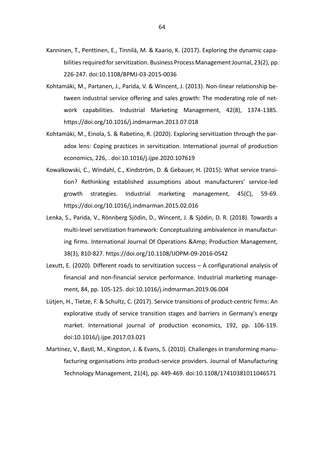- Kanninen, T., Penttinen, E., Tinnilä, M. & Kaario, K. (2017). Exploring the dynamic capabilities required for servitization. Business Process Management Journal, 23(2), pp. 226-247. doi:10.1108/BPMJ-03-2015-0036
- Kohtamäki, M., Partanen, J., Parida, V. & Wincent, J. (2013). Non-linear relationship between industrial service offering and sales growth: The moderating role of network capabilities. Industrial Marketing Management, 42(8), 1374-1385. <https://doi.org/10.1016/j.indmarman.2013.07.018>
- Kohtamäki, M., Einola, S. & Rabetino, R. (2020). Exploring servitization through the paradox lens: Coping practices in servitization. International journal of production economics, 226, . doi:10.1016/j.ijpe.2020.107619
- Kowalkowski, C., Windahl, C., Kindström, D. & Gebauer, H. (2015). What service transition? Rethinking established assumptions about manufacturers' service-led growth strategies. Industrial marketing management, 45(C), 59-69. <https://doi.org/10.1016/j.indmarman.2015.02.016>
- Lenka, S., Parida, V., Rönnberg Sjödin, D., Wincent, J. & Sjödin, D. R. (2018). Towards a multi-level servitization framework: Conceptualizing ambivalence in manufacturing firms. International Journal Of Operations &Amp; Production Management, 38(3), 810-827. https://doi.org/10.1108/IJOPM-09-2016-0542
- Lexutt, E. (2020). Different roads to servitization success A configurational analysis of financial and non-financial service performance. Industrial marketing management, 84, pp. 105-125. doi:10.1016/j.indmarman.2019.06.004
- Lütjen, H., Tietze, F. & Schultz, C. (2017). Service transitions of product-centric firms: An explorative study of service transition stages and barriers in Germany's energy market. International journal of production economics, 192, pp. 106-119. doi:10.1016/j.ijpe.2017.03.021
- Martinez, V., Bastl, M., Kingston, J. & Evans, S. (2010). Challenges in transforming manufacturing organisations into product-service providers. Journal of Manufacturing Technology Management, 21(4), pp. 449-469. doi:10.1108/17410381011046571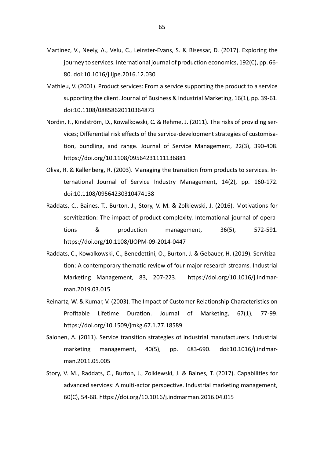- Martinez, V., Neely, A., Velu, C., Leinster-Evans, S. & Bisessar, D. (2017). Exploring the journey to services. International journal of production economics, 192(C), pp. 66- 80. doi:10.1016/j.ijpe.2016.12.030
- Mathieu, V. (2001). Product services: From a service supporting the product to a service supporting the client. Journal of Business & Industrial Marketing, 16(1), pp. 39-61. doi:10.1108/08858620110364873
- Nordin, F., Kindström, D., Kowalkowski, C. & Rehme, J. (2011). The risks of providing services; Differential risk effects of the service-development strategies of customisation, bundling, and range. Journal of Service Management, 22(3), 390-408. https://doi.org/10.1108/09564231111136881
- Oliva, R. & Kallenberg, R. (2003). Managing the transition from products to services. International Journal of Service Industry Management, 14(2), pp. 160-172. doi:10.1108/09564230310474138
- Raddats, C., Baines, T., Burton, J., Story, V. M. & Zolkiewski, J. (2016). Motivations for servitization: The impact of product complexity. International journal of operations & production management, 36(5), 572-591. https://doi.org/10.1108/IJOPM-09-2014-0447
- Raddats, C., Kowalkowski, C., Benedettini, O., Burton, J. & Gebauer, H. (2019). Servitization: A contemporary thematic review of four major research streams. Industrial Marketing Management, 83, 207-223. [https://doi.org/10.1016/j.indmar](https://doi.org/10.1016/j.indmarman.2019.03.015)[man.2019.03.015](https://doi.org/10.1016/j.indmarman.2019.03.015)
- Reinartz, W. & Kumar, V. (2003). The Impact of Customer Relationship Characteristics on Profitable Lifetime Duration. Journal of Marketing, 67(1), 77-99. https://doi.org/10.1509/jmkg.67.1.77.18589
- Salonen, A. (2011). Service transition strategies of industrial manufacturers. Industrial marketing management, 40(5), pp. 683-690. doi:10.1016/j.indmarman.2011.05.005
- Story, V. M., Raddats, C., Burton, J., Zolkiewski, J. & Baines, T. (2017). Capabilities for advanced services: A multi-actor perspective. Industrial marketing management, 60(C), 54-68.<https://doi.org/10.1016/j.indmarman.2016.04.015>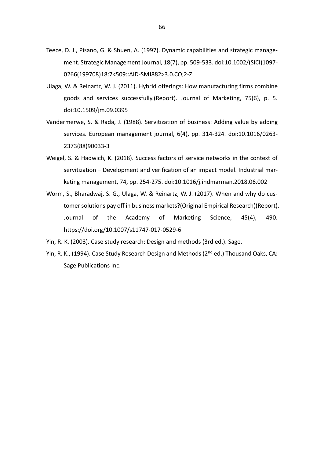- Teece, D. J., Pisano, G. & Shuen, A. (1997). Dynamic capabilities and strategic management. Strategic Management Journal, 18(7), pp. 509-533. doi:10.1002/(SICI)1097- 0266(199708)18:7<509::AID-SMJ882>3.0.CO;2-Z
- Ulaga, W. & Reinartz, W. J. (2011). Hybrid offerings: How manufacturing firms combine goods and services successfully.(Report). Journal of Marketing, 75(6), p. 5. doi:10.1509/jm.09.0395
- Vandermerwe, S. & Rada, J. (1988). Servitization of business: Adding value by adding services. European management journal, 6(4), pp. 314-324. doi:10.1016/0263- 2373(88)90033-3
- Weigel, S. & Hadwich, K. (2018). Success factors of service networks in the context of servitization – Development and verification of an impact model. Industrial marketing management, 74, pp. 254-275. doi:10.1016/j.indmarman.2018.06.002
- Worm, S., Bharadwaj, S. G., Ulaga, W. & Reinartz, W. J. (2017). When and why do customer solutions pay off in business markets?(Original Empirical Research)(Report). Journal of the Academy of Marketing Science, 45(4), 490. https://doi.org/10.1007/s11747-017-0529-6
- Yin, R. K. (2003). Case study research: Design and methods (3rd ed.). Sage.
- Yin, R. K., (1994). Case Study Research Design and Methods (2<sup>nd</sup> ed.) Thousand Oaks, CA: Sage Publications Inc.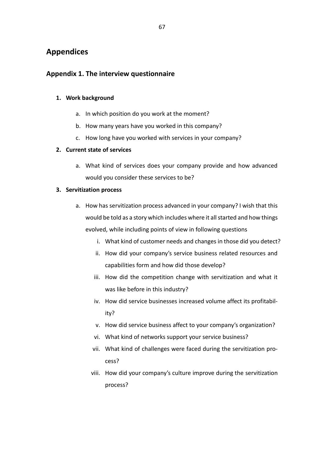# <span id="page-66-0"></span>**Appendices**

# <span id="page-66-1"></span>**Appendix 1. The interview questionnaire**

### **1. Work background**

- a. In which position do you work at the moment?
- b. How many years have you worked in this company?
- c. How long have you worked with services in your company?

## **2. Current state of services**

a. What kind of services does your company provide and how advanced would you consider these services to be?

## **3. Servitization process**

- a. How has servitization process advanced in your company? I wish that this would be told as a story which includes where it all started and how things evolved, while including points of view in following questions
	- i. What kind of customer needs and changes in those did you detect?
	- ii. How did your company's service business related resources and capabilities form and how did those develop?
	- iii. How did the competition change with servitization and what it was like before in this industry?
	- iv. How did service businesses increased volume affect its profitability?
	- v. How did service business affect to your company's organization?
	- vi. What kind of networks support your service business?
	- vii. What kind of challenges were faced during the servitization process?
	- viii. How did your company's culture improve during the servitization process?